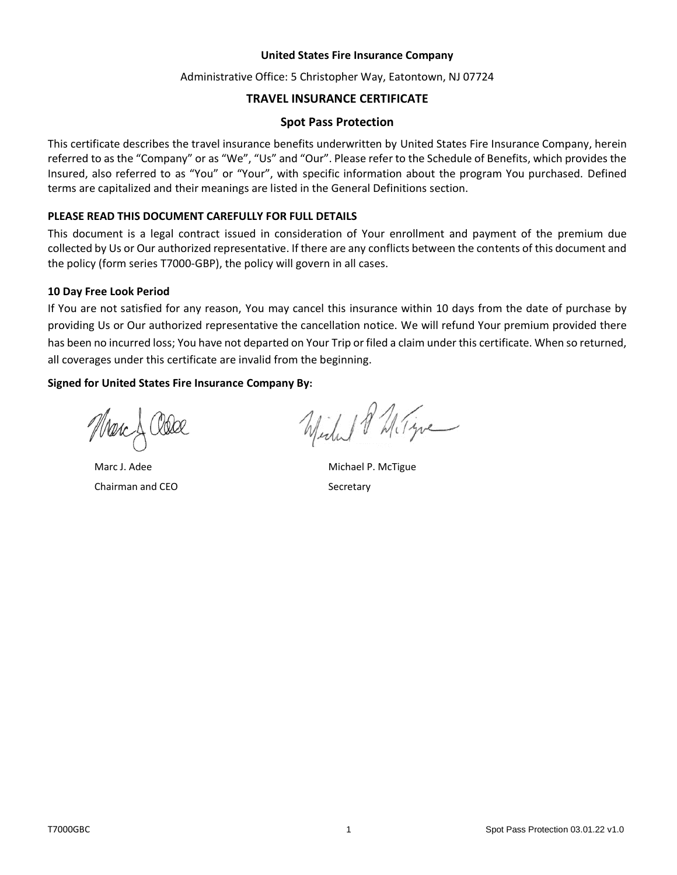#### **United States Fire Insurance Company**

### Administrative Office: 5 Christopher Way, Eatontown, NJ 07724

# **TRAVEL INSURANCE CERTIFICATE**

#### **Spot Pass Protection**

This certificate describes the travel insurance benefits underwritten by United States Fire Insurance Company, herein referred to as the "Company" or as "We", "Us" and "Our". Please refer to the Schedule of Benefits, which provides the Insured, also referred to as "You" or "Your", with specific information about the program You purchased. Defined terms are capitalized and their meanings are listed in the General Definitions section.

#### **PLEASE READ THIS DOCUMENT CAREFULLY FOR FULL DETAILS**

This document is a legal contract issued in consideration of Your enrollment and payment of the premium due collected by Us or Our authorized representative. If there are any conflicts between the contents of this document and the policy (form series T7000-GBP), the policy will govern in all cases.

#### **10 Day Free Look Period**

If You are not satisfied for any reason, You may cancel this insurance within 10 days from the date of purchase by providing Us or Our authorized representative the cancellation notice. We will refund Your premium provided there has been no incurred loss; You have not departed on Your Trip or filed a claim under this certificate. When so returned, all coverages under this certificate are invalid from the beginning.

### **Signed for United States Fire Insurance Company By:**

Marc J. Adee Chairman and CEO

Wide & Miligne

Michael P. McTigue **Secretary**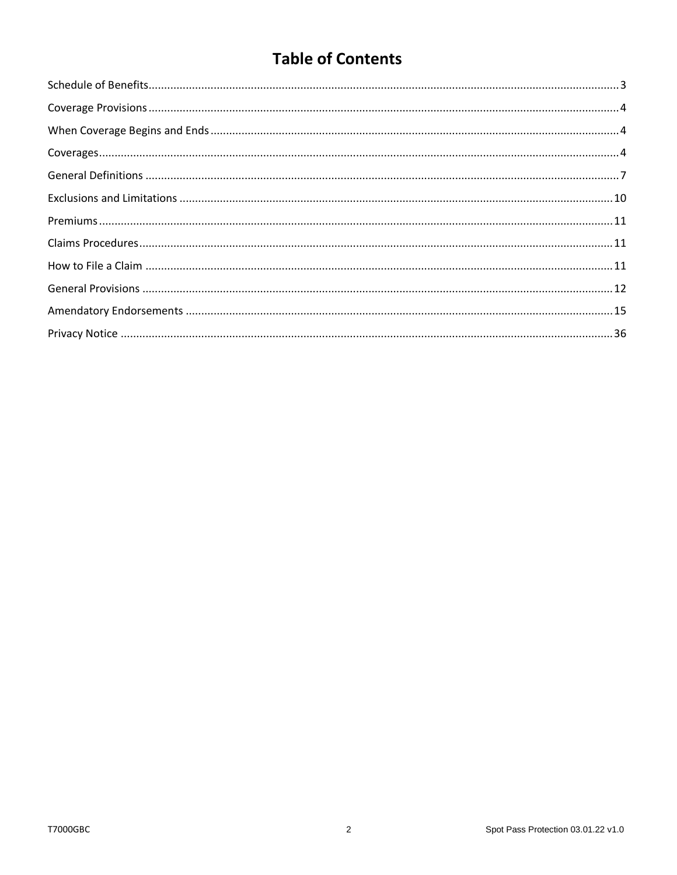# **Table of Contents**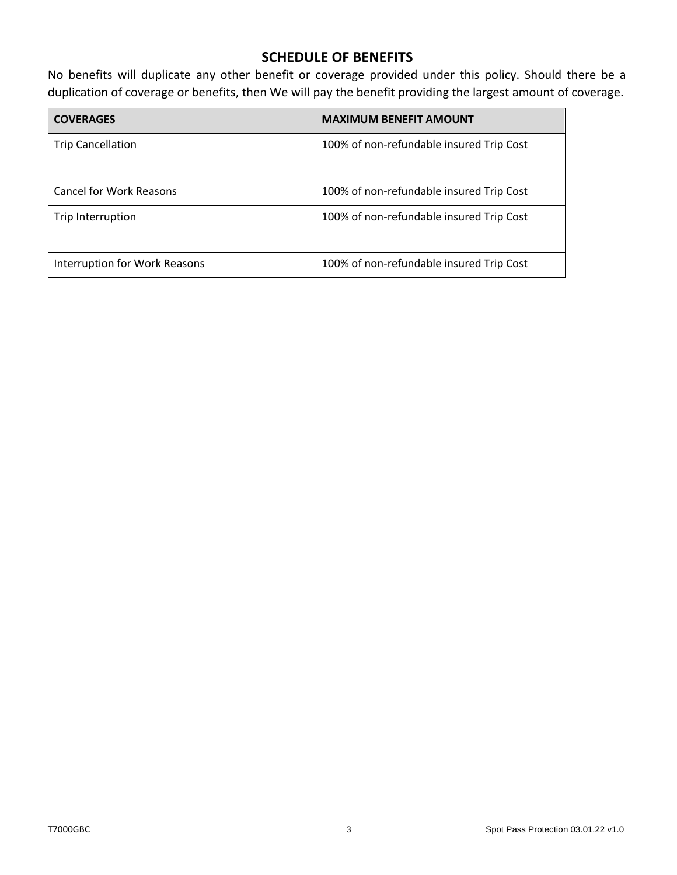# **SCHEDULE OF BENEFITS**

<span id="page-2-0"></span>No benefits will duplicate any other benefit or coverage provided under this policy. Should there be a duplication of coverage or benefits, then We will pay the benefit providing the largest amount of coverage.

| <b>COVERAGES</b>                     | <b>MAXIMUM BENEFIT AMOUNT</b>            |
|--------------------------------------|------------------------------------------|
| <b>Trip Cancellation</b>             | 100% of non-refundable insured Trip Cost |
| <b>Cancel for Work Reasons</b>       | 100% of non-refundable insured Trip Cost |
| Trip Interruption                    | 100% of non-refundable insured Trip Cost |
| <b>Interruption for Work Reasons</b> | 100% of non-refundable insured Trip Cost |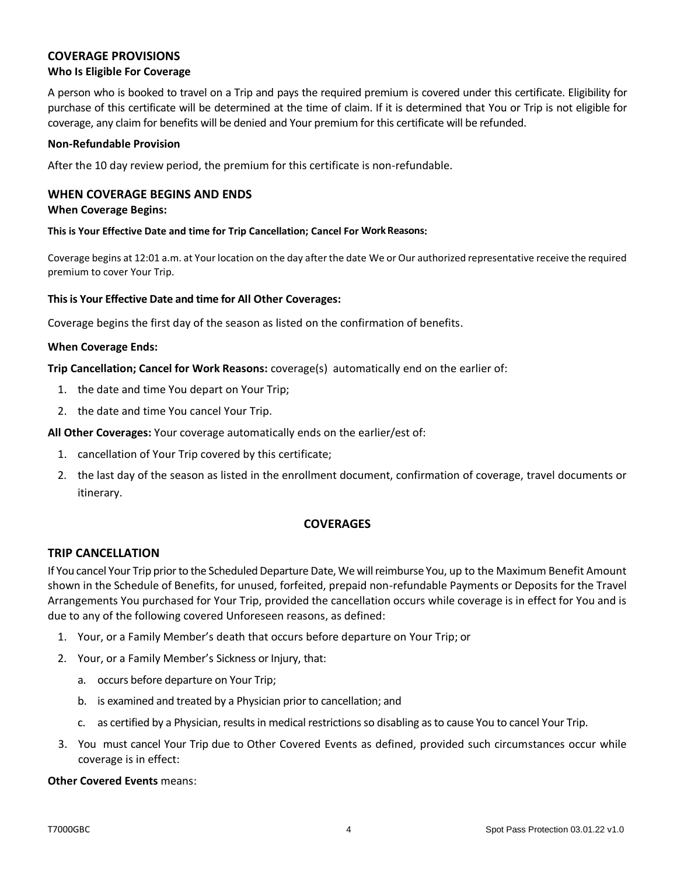# <span id="page-3-0"></span>**COVERAGE PROVISIONS**

# **Who Is Eligible For Coverage**

A person who is booked to travel on a Trip and pays the required premium is covered under this certificate. Eligibility for purchase of this certificate will be determined at the time of claim. If it is determined that You or Trip is not eligible for coverage, any claim for benefits will be denied and Your premium for this certificate will be refunded.

#### **Non-Refundable Provision**

After the 10 day review period, the premium for this certificate is non-refundable.

# <span id="page-3-1"></span>**WHEN COVERAGE BEGINS AND ENDS**

#### **When Coverage Begins:**

**This is Your Effective Date and time for Trip Cancellation; Cancel For Work Reasons:**

Coverage begins at 12:01 a.m. at Your location on the day after the date We or Our authorized representative receive the required premium to cover Your Trip.

#### **This is Your Effective Date and time for All Other Coverages:**

Coverage begins the first day of the season as listed on the confirmation of benefits.

#### **When Coverage Ends:**

**Trip Cancellation; Cancel for Work Reasons:** coverage(s) automatically end on the earlier of:

- 1. the date and time You depart on Your Trip;
- 2. the date and time You cancel Your Trip.

**All Other Coverages:** Your coverage automatically ends on the earlier/est of:

- 1. cancellation of Your Trip covered by this certificate;
- 2. the last day of the season as listed in the enrollment document, confirmation of coverage, travel documents or itinerary.

### **COVERAGES**

### <span id="page-3-2"></span>**TRIP CANCELLATION**

If You cancel Your Trip prior to the Scheduled Departure Date, We will reimburse You, up to the Maximum Benefit Amount shown in the Schedule of Benefits, for unused, forfeited, prepaid non-refundable Payments or Deposits for the Travel Arrangements You purchased for Your Trip, provided the cancellation occurs while coverage is in effect for You and is due to any of the following covered Unforeseen reasons, as defined:

- 1. Your, or a Family Member's death that occurs before departure on Your Trip; or
- 2. Your, or a Family Member's Sickness or Injury, that:
	- a. occurs before departure on Your Trip;
	- b. is examined and treated by a Physician prior to cancellation; and
	- c. as certified by a Physician, results in medical restrictions so disabling as to cause You to cancel Your Trip.
- 3. You must cancel Your Trip due to Other Covered Events as defined, provided such circumstances occur while coverage is in effect:

#### **Other Covered Events** means: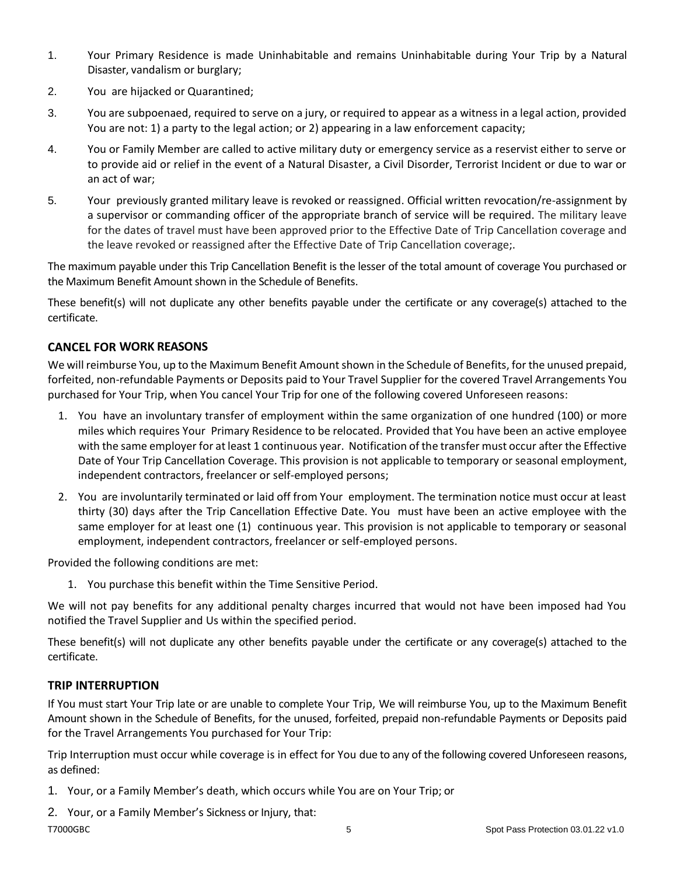- 1. Your Primary Residence is made Uninhabitable and remains Uninhabitable during Your Trip by a Natural Disaster, vandalism or burglary;
- 2. You are hijacked or Quarantined;
- 3. You are subpoenaed, required to serve on a jury, or required to appear as a witness in a legal action, provided You are not: 1) a party to the legal action; or 2) appearing in a law enforcement capacity;
- 4. You or Family Member are called to active military duty or emergency service as a reservist either to serve or to provide aid or relief in the event of a Natural Disaster, a Civil Disorder, Terrorist Incident or due to war or an act of war;
- 5. Your previously granted military leave is revoked or reassigned. Official written revocation/re-assignment by a supervisor or commanding officer of the appropriate branch of service will be required. The military leave for the dates of travel must have been approved prior to the Effective Date of Trip Cancellation coverage and the leave revoked or reassigned after the Effective Date of Trip Cancellation coverage;.

The maximum payable under this Trip Cancellation Benefit is the lesser of the total amount of coverage You purchased or the Maximum Benefit Amount shown in the Schedule of Benefits.

These benefit(s) will not duplicate any other benefits payable under the certificate or any coverage(s) attached to the certificate.

# **CANCEL FOR WORK REASONS**

We will reimburse You, up to the Maximum Benefit Amount shown in the Schedule of Benefits, for the unused prepaid, forfeited, non-refundable Payments or Deposits paid to Your Travel Supplier for the covered Travel Arrangements You purchased for Your Trip, when You cancel Your Trip for one of the following covered Unforeseen reasons:

- 1. You have an involuntary transfer of employment within the same organization of one hundred (100) or more miles which requires Your Primary Residence to be relocated. Provided that You have been an active employee with the same employer for at least 1 continuous year. Notification of the transfer must occur after the Effective Date of Your Trip Cancellation Coverage. This provision is not applicable to temporary or seasonal employment, independent contractors, freelancer or self-employed persons;
- 2. You are involuntarily terminated or laid off from Your employment. The termination notice must occur at least thirty (30) days after the Trip Cancellation Effective Date. You must have been an active employee with the same employer for at least one (1) continuous year. This provision is not applicable to temporary or seasonal employment, independent contractors, freelancer or self-employed persons.

Provided the following conditions are met:

1. You purchase this benefit within the Time Sensitive Period.

We will not pay benefits for any additional penalty charges incurred that would not have been imposed had You notified the Travel Supplier and Us within the specified period.

These benefit(s) will not duplicate any other benefits payable under the certificate or any coverage(s) attached to the certificate.

# **TRIP INTERRUPTION**

If You must start Your Trip late or are unable to complete Your Trip, We will reimburse You, up to the Maximum Benefit Amount shown in the Schedule of Benefits, for the unused, forfeited, prepaid non-refundable Payments or Deposits paid for the Travel Arrangements You purchased for Your Trip:

Trip Interruption must occur while coverage is in effect for You due to any of the following covered Unforeseen reasons, as defined:

1. Your, or a Family Member's death, which occurs while You are on Your Trip; or

T7000GBC 6 Spot Pass Protection 03.01.22 v1.0 2. Your, or a Family Member's Sickness or Injury, that: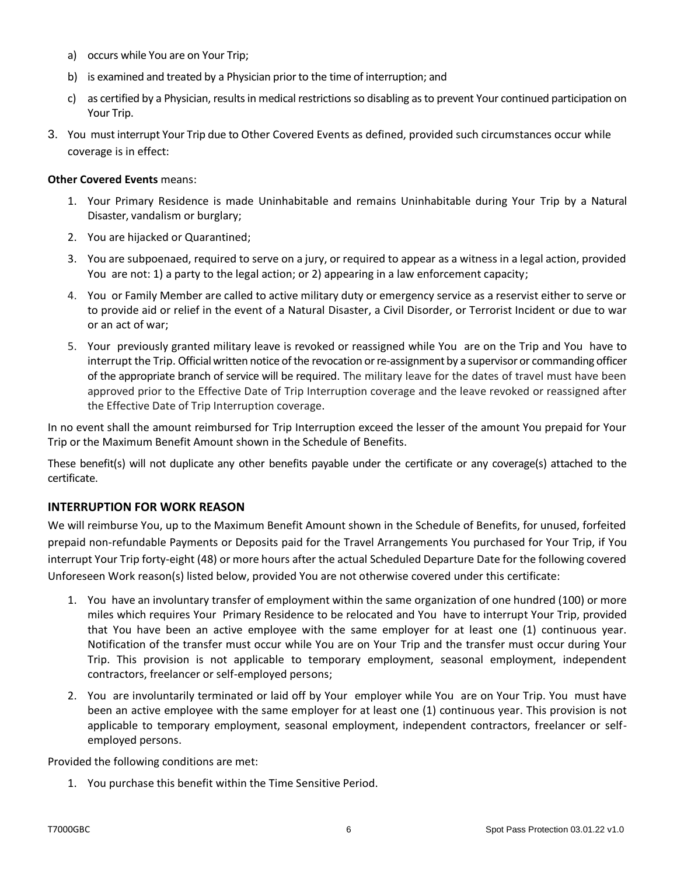- a) occurs while You are on Your Trip;
- b) is examined and treated by a Physician prior to the time of interruption; and
- c) as certified by a Physician, results in medical restrictions so disabling as to prevent Your continued participation on Your Trip.
- 3. You must interrupt Your Trip due to Other Covered Events as defined, provided such circumstances occur while coverage is in effect:

#### **Other Covered Events** means:

- 1. Your Primary Residence is made Uninhabitable and remains Uninhabitable during Your Trip by a Natural Disaster, vandalism or burglary;
- 2. You are hijacked or Quarantined;
- 3. You are subpoenaed, required to serve on a jury, or required to appear as a witness in a legal action, provided You are not: 1) a party to the legal action; or 2) appearing in a law enforcement capacity;
- 4. You or Family Member are called to active military duty or emergency service as a reservist either to serve or to provide aid or relief in the event of a Natural Disaster, a Civil Disorder, or Terrorist Incident or due to war or an act of war;
- 5. Your previously granted military leave is revoked or reassigned while You are on the Trip and You have to interrupt the Trip. Official written notice of the revocation or re-assignment by a supervisor or commanding officer of the appropriate branch of service will be required. The military leave for the dates of travel must have been approved prior to the Effective Date of Trip Interruption coverage and the leave revoked or reassigned after the Effective Date of Trip Interruption coverage.

In no event shall the amount reimbursed for Trip Interruption exceed the lesser of the amount You prepaid for Your Trip or the Maximum Benefit Amount shown in the Schedule of Benefits.

These benefit(s) will not duplicate any other benefits payable under the certificate or any coverage(s) attached to the certificate.

### **INTERRUPTION FOR WORK REASON**

We will reimburse You, up to the Maximum Benefit Amount shown in the Schedule of Benefits, for unused, forfeited prepaid non-refundable Payments or Deposits paid for the Travel Arrangements You purchased for Your Trip, if You interrupt Your Trip forty-eight (48) or more hours after the actual Scheduled Departure Date for the following covered Unforeseen Work reason(s) listed below, provided You are not otherwise covered under this certificate:

- 1. You have an involuntary transfer of employment within the same organization of one hundred (100) or more miles which requires Your Primary Residence to be relocated and You have to interrupt Your Trip, provided that You have been an active employee with the same employer for at least one (1) continuous year. Notification of the transfer must occur while You are on Your Trip and the transfer must occur during Your Trip. This provision is not applicable to temporary employment, seasonal employment, independent contractors, freelancer or self-employed persons;
- 2. You are involuntarily terminated or laid off by Your employer while You are on Your Trip. You must have been an active employee with the same employer for at least one (1) continuous year. This provision is not applicable to temporary employment, seasonal employment, independent contractors, freelancer or selfemployed persons.

Provided the following conditions are met:

1. You purchase this benefit within the Time Sensitive Period.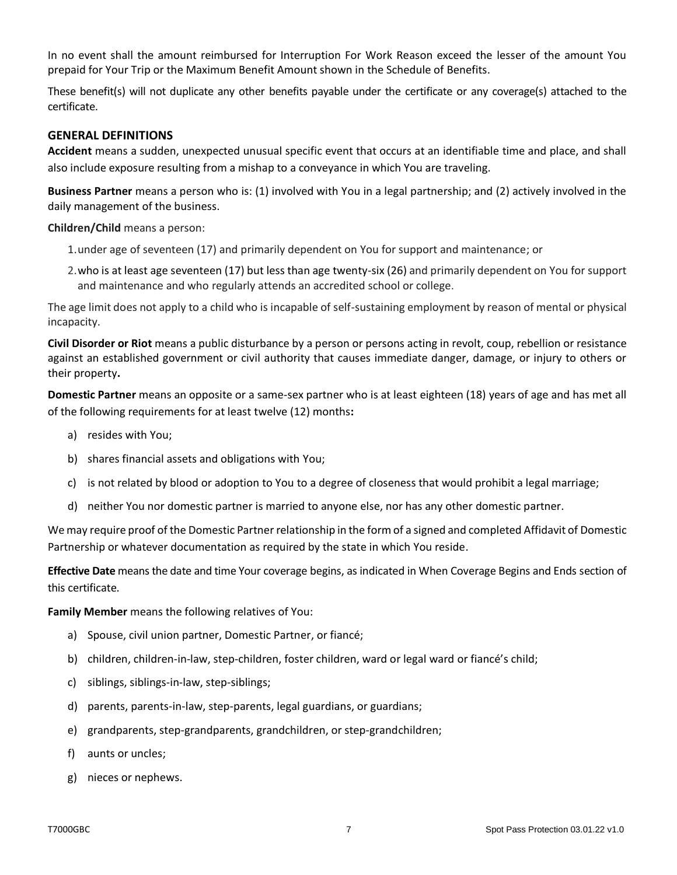In no event shall the amount reimbursed for Interruption For Work Reason exceed the lesser of the amount You prepaid for Your Trip or the Maximum Benefit Amount shown in the Schedule of Benefits.

These benefit(s) will not duplicate any other benefits payable under the certificate or any coverage(s) attached to the certificate.

# <span id="page-6-0"></span>**GENERAL DEFINITIONS**

**Accident** means a sudden, unexpected unusual specific event that occurs at an identifiable time and place, and shall also include exposure resulting from a mishap to a conveyance in which You are traveling.

**Business Partner** means a person who is: (1) involved with You in a legal partnership; and (2) actively involved in the daily management of the business.

**Children/Child** means a person:

- 1.under age of seventeen (17) and primarily dependent on You for support and maintenance; or
- 2.who is at least age seventeen (17) but less than age twenty-six (26) and primarily dependent on You for support and maintenance and who regularly attends an accredited school or college.

The age limit does not apply to a child who is incapable of self-sustaining employment by reason of mental or physical incapacity.

**Civil Disorder or Riot** means a public disturbance by a person or persons acting in revolt, coup, rebellion or resistance against an established government or civil authority that causes immediate danger, damage, or injury to others or their property**.**

**Domestic Partner** means an opposite or a same-sex partner who is at least eighteen (18) years of age and has met all of the following requirements for at least twelve (12) months**:**

- a) resides with You;
- b) shares financial assets and obligations with You;
- c) is not related by blood or adoption to You to a degree of closeness that would prohibit a legal marriage;
- d) neither You nor domestic partner is married to anyone else, nor has any other domestic partner.

We may require proof of the Domestic Partner relationship in the form of a signed and completed Affidavit of Domestic Partnership or whatever documentation as required by the state in which You reside.

**Effective Date** means the date and time Your coverage begins, as indicated in When Coverage Begins and Ends section of this certificate.

**Family Member** means the following relatives of You:

- a) Spouse, civil union partner, Domestic Partner, or fiancé;
- b) children, children-in-law, step-children, foster children, ward or legal ward or fiancé's child;
- c) siblings, siblings-in-law, step-siblings;
- d) parents, parents-in-law, step-parents, legal guardians, or guardians;
- e) grandparents, step-grandparents, grandchildren, or step-grandchildren;
- f) aunts or uncles;
- g) nieces or nephews.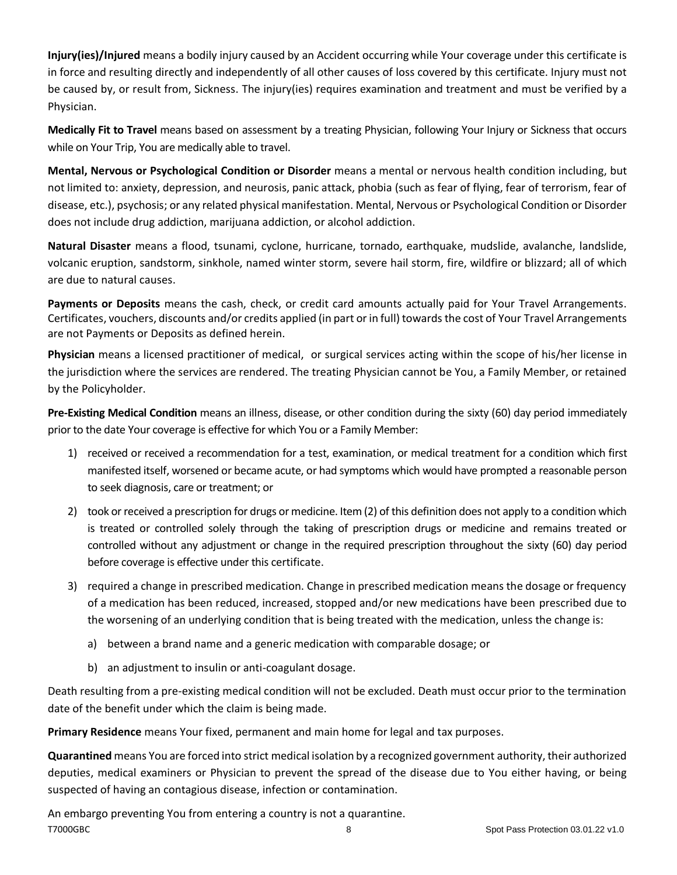**Injury(ies)/Injured** means a bodily injury caused by an Accident occurring while Your coverage under this certificate is in force and resulting directly and independently of all other causes of loss covered by this certificate. Injury must not be caused by, or result from, Sickness. The injury(ies) requires examination and treatment and must be verified by a Physician.

**Medically Fit to Travel** means based on assessment by a treating Physician, following Your Injury or Sickness that occurs while on Your Trip, You are medically able to travel.

**Mental, Nervous or Psychological Condition or Disorder** means a mental or nervous health condition including, but not limited to: anxiety, depression, and neurosis, panic attack, phobia (such as fear of flying, fear of terrorism, fear of disease, etc.), psychosis; or any related physical manifestation. Mental, Nervous or Psychological Condition or Disorder does not include drug addiction, marijuana addiction, or alcohol addiction.

**Natural Disaster** means a flood, tsunami, cyclone, hurricane, tornado, earthquake, mudslide, avalanche, landslide, volcanic eruption, sandstorm, sinkhole, named winter storm, severe hail storm, fire, wildfire or blizzard; all of which are due to natural causes.

**Payments or Deposits** means the cash, check, or credit card amounts actually paid for Your Travel Arrangements. Certificates, vouchers, discounts and/or credits applied (in part or in full) towards the cost of Your Travel Arrangements are not Payments or Deposits as defined herein.

**Physician** means a licensed practitioner of medical, or surgical services acting within the scope of his/her license in the jurisdiction where the services are rendered. The treating Physician cannot be You, a Family Member, or retained by the Policyholder.

**Pre-Existing Medical Condition** means an illness, disease, or other condition during the sixty (60) day period immediately prior to the date Your coverage is effective for which You or a Family Member:

- 1) received or received a recommendation for a test, examination, or medical treatment for a condition which first manifested itself, worsened or became acute, or had symptoms which would have prompted a reasonable person to seek diagnosis, care or treatment; or
- 2) took or received a prescription for drugs or medicine. Item (2) of this definition does not apply to a condition which is treated or controlled solely through the taking of prescription drugs or medicine and remains treated or controlled without any adjustment or change in the required prescription throughout the sixty (60) day period before coverage is effective under this certificate.
- 3) required a change in prescribed medication. Change in prescribed medication means the dosage or frequency of a medication has been reduced, increased, stopped and/or new medications have been prescribed due to the worsening of an underlying condition that is being treated with the medication, unless the change is:
	- a) between a brand name and a generic medication with comparable dosage; or
	- b) an adjustment to insulin or anti-coagulant dosage.

Death resulting from a pre-existing medical condition will not be excluded. Death must occur prior to the termination date of the benefit under which the claim is being made.

**Primary Residence** means Your fixed, permanent and main home for legal and tax purposes.

**Quarantined** means You are forced into strict medical isolation by a recognized government authority, their authorized deputies, medical examiners or Physician to prevent the spread of the disease due to You either having, or being suspected of having an contagious disease, infection or contamination.

T7000GBC 8 Spot Pass Protection 03.01.22 v1.0 An embargo preventing You from entering a country is not a quarantine.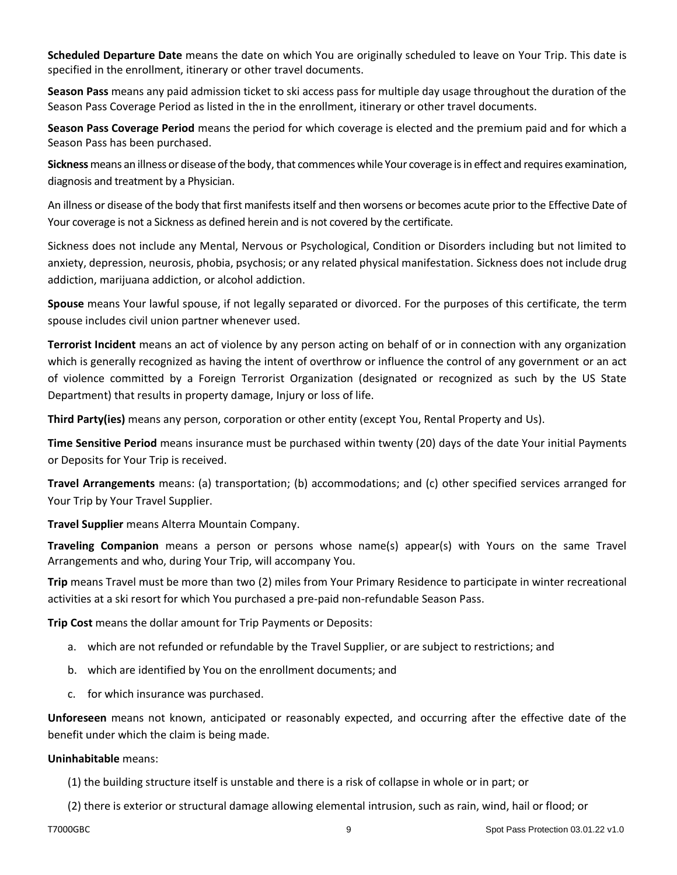**Scheduled Departure Date** means the date on which You are originally scheduled to leave on Your Trip. This date is specified in the enrollment, itinerary or other travel documents.

**Season Pass** means any paid admission ticket to ski access pass for multiple day usage throughout the duration of the Season Pass Coverage Period as listed in the in the enrollment, itinerary or other travel documents.

**Season Pass Coverage Period** means the period for which coverage is elected and the premium paid and for which a Season Pass has been purchased.

**Sickness** means an illness or disease of the body, that commences while Your coverage is in effect and requires examination, diagnosis and treatment by a Physician.

An illness or disease of the body that first manifests itself and then worsens or becomes acute prior to the Effective Date of Your coverage is not a Sickness as defined herein and is not covered by the certificate.

Sickness does not include any Mental, Nervous or Psychological, Condition or Disorders including but not limited to anxiety, depression, neurosis, phobia, psychosis; or any related physical manifestation. Sickness does not include drug addiction, marijuana addiction, or alcohol addiction.

**Spouse** means Your lawful spouse, if not legally separated or divorced. For the purposes of this certificate, the term spouse includes civil union partner whenever used.

**Terrorist Incident** means an act of violence by any person acting on behalf of or in connection with any organization which is generally recognized as having the intent of overthrow or influence the control of any government or an act of violence committed by a Foreign Terrorist Organization (designated or recognized as such by the US State Department) that results in property damage, Injury or loss of life.

**Third Party(ies)** means any person, corporation or other entity (except You, Rental Property and Us).

**Time Sensitive Period** means insurance must be purchased within twenty (20) days of the date Your initial Payments or Deposits for Your Trip is received.

**Travel Arrangements** means: (a) transportation; (b) accommodations; and (c) other specified services arranged for Your Trip by Your Travel Supplier.

**Travel Supplier** means Alterra Mountain Company.

**Traveling Companion** means a person or persons whose name(s) appear(s) with Yours on the same Travel Arrangements and who, during Your Trip, will accompany You.

**Trip** means Travel must be more than two (2) miles from Your Primary Residence to participate in winter recreational activities at a ski resort for which You purchased a pre-paid non-refundable Season Pass.

**Trip Cost** means the dollar amount for Trip Payments or Deposits:

- a. which are not refunded or refundable by the Travel Supplier, or are subject to restrictions; and
- b. which are identified by You on the enrollment documents; and
- c. for which insurance was purchased.

**Unforeseen** means not known, anticipated or reasonably expected, and occurring after the effective date of the benefit under which the claim is being made.

### **Uninhabitable** means:

(1) the building structure itself is unstable and there is a risk of collapse in whole or in part; or

(2) there is exterior or structural damage allowing elemental intrusion, such as rain, wind, hail or flood; or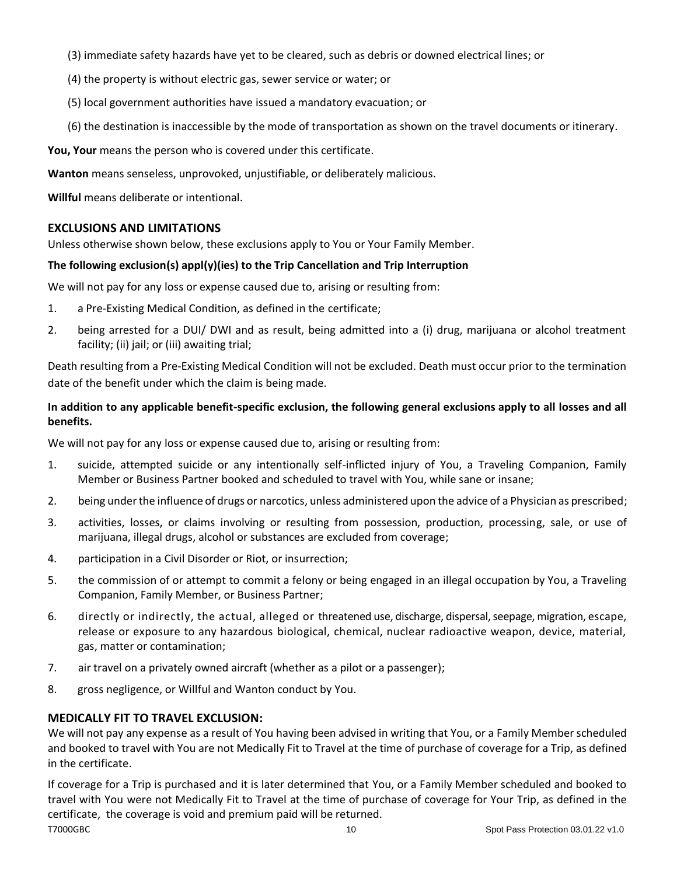- (3) immediate safety hazards have yet to be cleared, such as debris or downed electrical lines; or
- (4) the property is without electric gas, sewer service or water; or
- (5) local government authorities have issued a mandatory evacuation; or
- (6) the destination is inaccessible by the mode of transportation as shown on the travel documents or itinerary.

**You, Your** means the person who is covered under this certificate.

**Wanton** means senseless, unprovoked, unjustifiable, or deliberately malicious.

**Willful** means deliberate or intentional.

### <span id="page-9-0"></span>**EXCLUSIONS AND LIMITATIONS**

Unless otherwise shown below, these exclusions apply to You or Your Family Member.

#### **The following exclusion(s) appl(y)(ies) to the Trip Cancellation and Trip Interruption**

We will not pay for any loss or expense caused due to, arising or resulting from:

- 1. a Pre-Existing Medical Condition, as defined in the certificate;
- 2. being arrested for a DUI/ DWI and as result, being admitted into a (i) drug, marijuana or alcohol treatment facility; (ii) jail; or (iii) awaiting trial;

Death resulting from a Pre-Existing Medical Condition will not be excluded. Death must occur prior to the termination date of the benefit under which the claim is being made.

# **In addition to any applicable benefit-specific exclusion, the following general exclusions apply to all losses and all benefits.**

We will not pay for any loss or expense caused due to, arising or resulting from:

- 1. suicide, attempted suicide or any intentionally self-inflicted injury of You, a Traveling Companion, Family Member or Business Partner booked and scheduled to travel with You, while sane or insane;
- 2. being under the influence of drugs or narcotics, unless administered upon the advice of a Physician as prescribed;
- 3. activities, losses, or claims involving or resulting from possession, production, processing, sale, or use of marijuana, illegal drugs, alcohol or substances are excluded from coverage;
- 4. participation in a Civil Disorder or Riot, or insurrection;
- 5. the commission of or attempt to commit a felony or being engaged in an illegal occupation by You, a Traveling Companion, Family Member, or Business Partner;
- 6. directly or indirectly, the actual, alleged or threatened use, discharge, dispersal, seepage, migration, escape, release or exposure to any hazardous biological, chemical, nuclear radioactive weapon, device, material, gas, matter or contamination;
- 7. air travel on a privately owned aircraft (whether as a pilot or a passenger);
- 8. gross negligence, or Willful and Wanton conduct by You.

### **MEDICALLY FIT TO TRAVEL EXCLUSION:**

We will not pay any expense as a result of You having been advised in writing that You, or a Family Member scheduled and booked to travel with You are not Medically Fit to Travel at the time of purchase of coverage for a Trip, as defined in the certificate.

T7000GBC 10 Spot Pass Protection 03.01.22 v1.0 If coverage for a Trip is purchased and it is later determined that You, or a Family Member scheduled and booked to travel with You were not Medically Fit to Travel at the time of purchase of coverage for Your Trip, as defined in the certificate, the coverage is void and premium paid will be returned.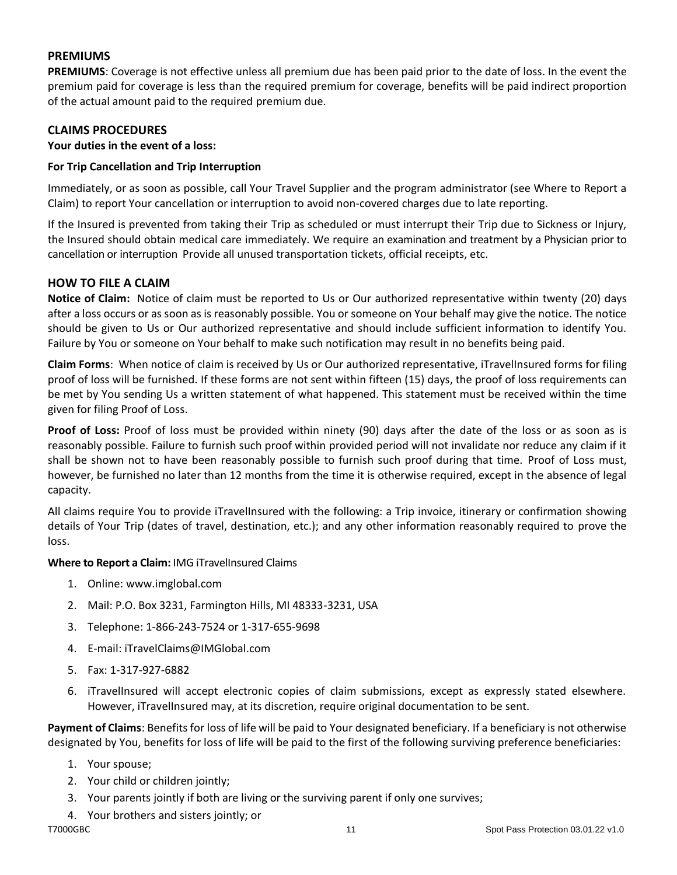# <span id="page-10-0"></span>**PREMIUMS**

**PREMIUMS**: Coverage is not effective unless all premium due has been paid prior to the date of loss. In the event the premium paid for coverage is less than the required premium for coverage, benefits will be paid indirect proportion of the actual amount paid to the required premium due.

# <span id="page-10-1"></span>**CLAIMS PROCEDURES**

**Your duties in the event of a loss:**

# **For Trip Cancellation and Trip Interruption**

Immediately, or as soon as possible, call Your Travel Supplier and the program administrator (see Where to Report a Claim) to report Your cancellation or interruption to avoid non-covered charges due to late reporting.

If the Insured is prevented from taking their Trip as scheduled or must interrupt their Trip due to Sickness or Injury, the Insured should obtain medical care immediately. We require an examination and treatment by a Physician prior to cancellation or interruption Provide all unused transportation tickets, official receipts, etc.

# <span id="page-10-2"></span>**HOW TO FILE A CLAIM**

**Notice of Claim:** Notice of claim must be reported to Us or Our authorized representative within twenty (20) days after a loss occurs or as soon as is reasonably possible. You or someone on Your behalf may give the notice. The notice should be given to Us or Our authorized representative and should include sufficient information to identify You. Failure by You or someone on Your behalf to make such notification may result in no benefits being paid.

**Claim Forms**: When notice of claim is received by Us or Our authorized representative, iTravelInsured forms for filing proof of loss will be furnished. If these forms are not sent within fifteen (15) days, the proof of loss requirements can be met by You sending Us a written statement of what happened. This statement must be received within the time given for filing Proof of Loss.

**Proof of Loss:** Proof of loss must be provided within ninety (90) days after the date of the loss or as soon as is reasonably possible. Failure to furnish such proof within provided period will not invalidate nor reduce any claim if it shall be shown not to have been reasonably possible to furnish such proof during that time. Proof of Loss must, however, be furnished no later than 12 months from the time it is otherwise required, except in the absence of legal capacity.

All claims require You to provide iTravelInsured with the following: a Trip invoice, itinerary or confirmation showing details of Your Trip (dates of travel, destination, etc.); and any other information reasonably required to prove the loss.

### **Where to Report a Claim:** IMG iTravelInsured Claims

- 1. Online: www.imglobal.com
- 2. Mail: P.O. Box 3231, Farmington Hills, MI 48333-3231, USA
- 3. Telephone: 1-866-243-7524 or 1-317-655-9698
- 4. E-mail: iTravelClaims@IMGlobal.com
- 5. Fax: 1-317-927-6882
- 6. iTravelInsured will accept electronic copies of claim submissions, except as expressly stated elsewhere. However, iTravelInsured may, at its discretion, require original documentation to be sent.

**Payment of Claims**: Benefits for loss of life will be paid to Your designated beneficiary. If a beneficiary is not otherwise designated by You, benefits for loss of life will be paid to the first of the following surviving preference beneficiaries:

- 1. Your spouse;
- 2. Your child or children jointly;
- 3. Your parents jointly if both are living or the surviving parent if only one survives;
- 4. Your brothers and sisters jointly; or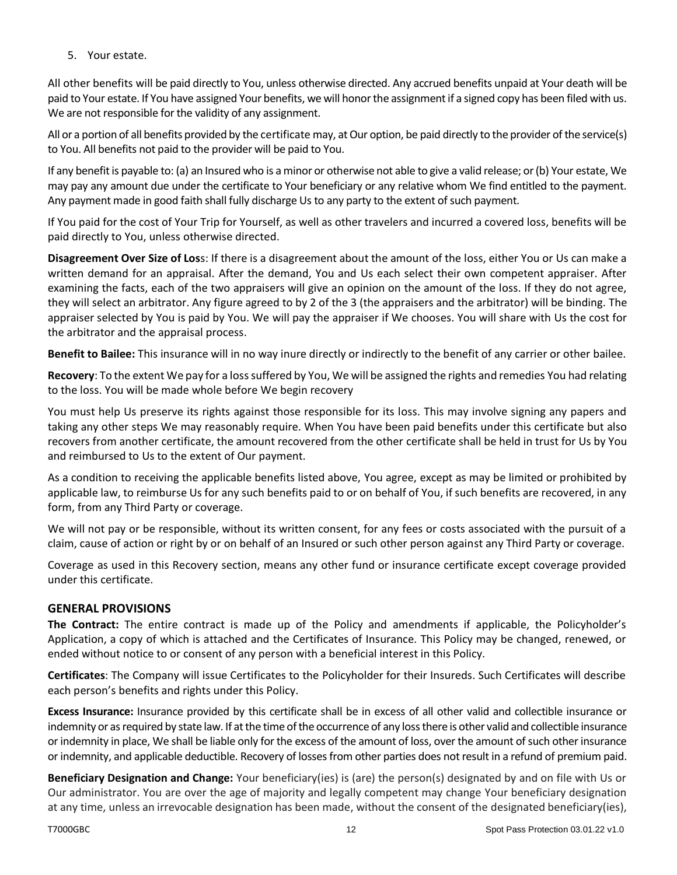5. Your estate.

All other benefits will be paid directly to You, unless otherwise directed. Any accrued benefits unpaid at Your death will be paid to Your estate. If You have assigned Your benefits, we will honor the assignment if a signed copy has been filed with us. We are not responsible for the validity of any assignment.

All or a portion of all benefits provided by the certificate may, at Our option, be paid directly to the provider of the service(s) to You. All benefits not paid to the provider will be paid to You.

If any benefit is payable to: (a) an Insured who is a minor or otherwise not able to give a valid release; or (b) Your estate, We may pay any amount due under the certificate to Your beneficiary or any relative whom We find entitled to the payment. Any payment made in good faith shall fully discharge Us to any party to the extent of such payment.

If You paid for the cost of Your Trip for Yourself, as well as other travelers and incurred a covered loss, benefits will be paid directly to You, unless otherwise directed.

**Disagreement Over Size of Los**s: If there is a disagreement about the amount of the loss, either You or Us can make a written demand for an appraisal. After the demand, You and Us each select their own competent appraiser. After examining the facts, each of the two appraisers will give an opinion on the amount of the loss. If they do not agree, they will select an arbitrator. Any figure agreed to by 2 of the 3 (the appraisers and the arbitrator) will be binding. The appraiser selected by You is paid by You. We will pay the appraiser if We chooses. You will share with Us the cost for the arbitrator and the appraisal process.

**Benefit to Bailee:** This insurance will in no way inure directly or indirectly to the benefit of any carrier or other bailee.

**Recovery**: To the extent We pay for a loss suffered by You, We will be assigned the rights and remedies You had relating to the loss. You will be made whole before We begin recovery

You must help Us preserve its rights against those responsible for its loss. This may involve signing any papers and taking any other steps We may reasonably require. When You have been paid benefits under this certificate but also recovers from another certificate, the amount recovered from the other certificate shall be held in trust for Us by You and reimbursed to Us to the extent of Our payment.

As a condition to receiving the applicable benefits listed above, You agree, except as may be limited or prohibited by applicable law, to reimburse Us for any such benefits paid to or on behalf of You, if such benefits are recovered, in any form, from any Third Party or coverage.

We will not pay or be responsible, without its written consent, for any fees or costs associated with the pursuit of a claim, cause of action or right by or on behalf of an Insured or such other person against any Third Party or coverage.

Coverage as used in this Recovery section, means any other fund or insurance certificate except coverage provided under this certificate.

# <span id="page-11-0"></span>**GENERAL PROVISIONS**

**The Contract:** The entire contract is made up of the Policy and amendments if applicable, the Policyholder's Application, a copy of which is attached and the Certificates of Insurance. This Policy may be changed, renewed, or ended without notice to or consent of any person with a beneficial interest in this Policy.

**Certificates**: The Company will issue Certificates to the Policyholder for their Insureds. Such Certificates will describe each person's benefits and rights under this Policy.

**Excess Insurance:** Insurance provided by this certificate shall be in excess of all other valid and collectible insurance or indemnity or as required by state law. If at the time of the occurrence of any loss there is other valid and collectible insurance or indemnity in place, We shall be liable only for the excess of the amount of loss, over the amount of such other insurance or indemnity, and applicable deductible. Recovery of losses from other parties does not result in a refund of premium paid.

**Beneficiary Designation and Change:** Your beneficiary(ies) is (are) the person(s) designated by and on file with Us or Our administrator. You are over the age of majority and legally competent may change Your beneficiary designation at any time, unless an irrevocable designation has been made, without the consent of the designated beneficiary(ies),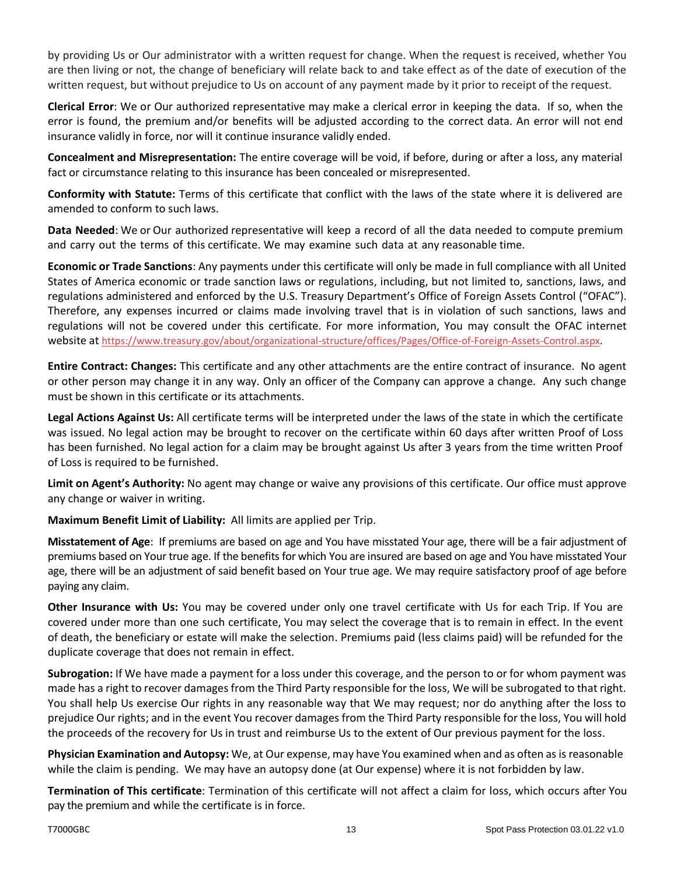by providing Us or Our administrator with a written request for change. When the request is received, whether You are then living or not, the change of beneficiary will relate back to and take effect as of the date of execution of the written request, but without prejudice to Us on account of any payment made by it prior to receipt of the request.

**Clerical Error**: We or Our authorized representative may make a clerical error in keeping the data. If so, when the error is found, the premium and/or benefits will be adjusted according to the correct data. An error will not end insurance validly in force, nor will it continue insurance validly ended.

**Concealment and Misrepresentation:** The entire coverage will be void, if before, during or after a loss, any material fact or circumstance relating to this insurance has been concealed or misrepresented.

**Conformity with Statute:** Terms of this certificate that conflict with the laws of the state where it is delivered are amended to conform to such laws.

**Data Needed**: We or Our authorized representative will keep a record of all the data needed to compute premium and carry out the terms of this certificate. We may examine such data at any reasonable time.

**Economic or Trade Sanctions**: Any payments under this certificate will only be made in full compliance with all United States of America economic or trade sanction laws or regulations, including, but not limited to, sanctions, laws, and regulations administered and enforced by the U.S. Treasury Department's Office of Foreign Assets Control ("OFAC"). Therefore, any expenses incurred or claims made involving travel that is in violation of such sanctions, laws and regulations will not be covered under this certificate. For more information, You may consult the OFAC internet website at [https://www.treasury.gov/about/organizational-structure/offices/Pages/Office-of-Foreign-Assets-Control.aspx.](https://www.treasury.gov/about/organizational-structure/offices/Pages/Office-of-Foreign-Assets-Control.aspx)

**Entire Contract: Changes:** This certificate and any other attachments are the entire contract of insurance. No agent or other person may change it in any way. Only an officer of the Company can approve a change. Any such change must be shown in this certificate or its attachments.

**Legal Actions Against Us:** All certificate terms will be interpreted under the laws of the state in which the certificate was issued. No legal action may be brought to recover on the certificate within 60 days after written Proof of Loss has been furnished. No legal action for a claim may be brought against Us after 3 years from the time written Proof of Loss is required to be furnished.

**Limit on Agent's Authority:** No agent may change or waive any provisions of this certificate. Our office must approve any change or waiver in writing.

**Maximum Benefit Limit of Liability:** All limits are applied per Trip.

**Misstatement of Age**: If premiums are based on age and You have misstated Your age, there will be a fair adjustment of premiums based on Your true age. If the benefits for which You are insured are based on age and You have misstated Your age, there will be an adjustment of said benefit based on Your true age. We may require satisfactory proof of age before paying any claim.

**Other Insurance with Us:** You may be covered under only one travel certificate with Us for each Trip. If You are covered under more than one such certificate, You may select the coverage that is to remain in effect. In the event of death, the beneficiary or estate will make the selection. Premiums paid (less claims paid) will be refunded for the duplicate coverage that does not remain in effect.

**Subrogation:** If We have made a payment for a loss under this coverage, and the person to or for whom payment was made has a right to recover damages from the Third Party responsible for the loss, We will be subrogated to that right. You shall help Us exercise Our rights in any reasonable way that We may request; nor do anything after the loss to prejudice Our rights; and in the event You recover damages from the Third Party responsible for the loss, You will hold the proceeds of the recovery for Us in trust and reimburse Us to the extent of Our previous payment for the loss.

**Physician Examination and Autopsy:** We, at Our expense, may have You examined when and as often as is reasonable while the claim is pending. We may have an autopsy done (at Our expense) where it is not forbidden by law.

**Termination of This certificate**: Termination of this certificate will not affect a claim for loss, which occurs after You pay the premium and while the certificate is in force.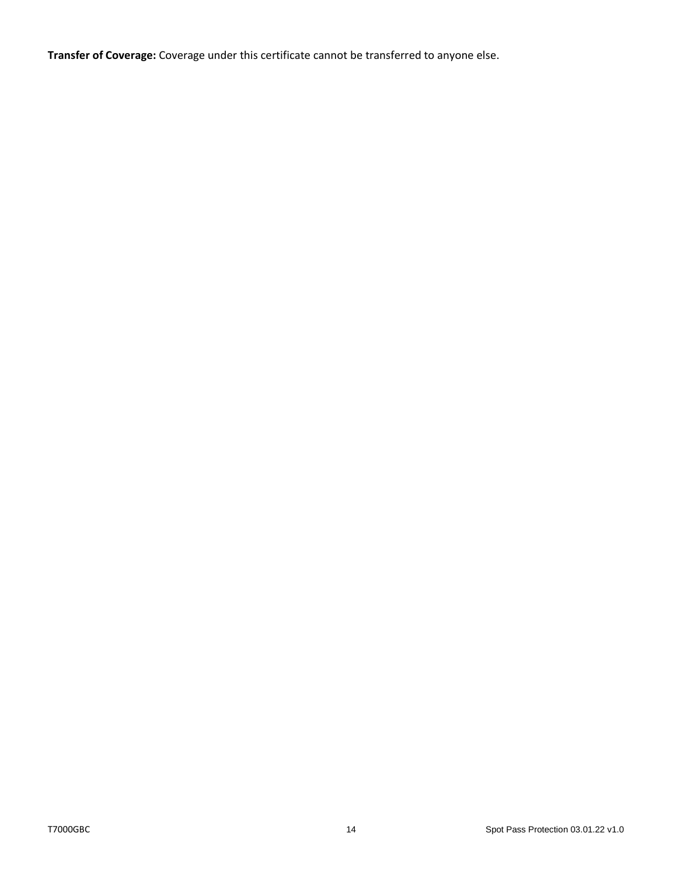**Transfer of Coverage:** Coverage under this certificate cannot be transferred to anyone else.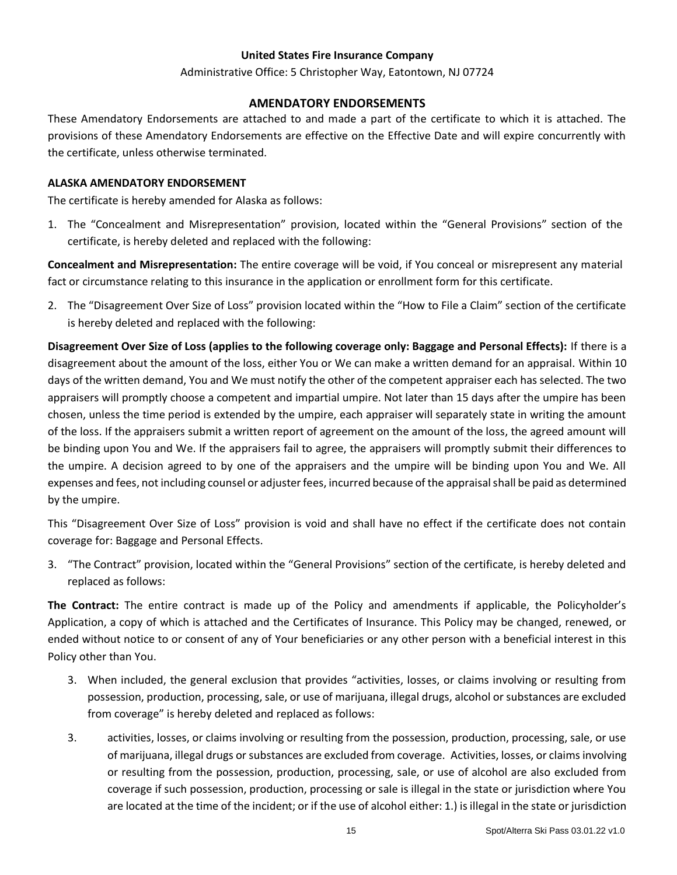#### **United States Fire Insurance Company**

#### Administrative Office: 5 Christopher Way, Eatontown, NJ 07724

# **AMENDATORY ENDORSEMENTS**

<span id="page-14-0"></span>These Amendatory Endorsements are attached to and made a part of the certificate to which it is attached. The provisions of these Amendatory Endorsements are effective on the Effective Date and will expire concurrently with the certificate, unless otherwise terminated.

#### **ALASKA AMENDATORY ENDORSEMENT**

The certificate is hereby amended for Alaska as follows:

1. The "Concealment and Misrepresentation" provision, located within the "General Provisions" section of the certificate, is hereby deleted and replaced with the following:

**Concealment and Misrepresentation:** The entire coverage will be void, if You conceal or misrepresent any material fact or circumstance relating to this insurance in the application or enrollment form for this certificate.

2. The "Disagreement Over Size of Loss" provision located within the "How to File a Claim" section of the certificate is hereby deleted and replaced with the following:

**Disagreement Over Size of Loss (applies to the following coverage only: Baggage and Personal Effects):** If there is a disagreement about the amount of the loss, either You or We can make a written demand for an appraisal. Within 10 days of the written demand, You and We must notify the other of the competent appraiser each has selected. The two appraisers will promptly choose a competent and impartial umpire. Not later than 15 days after the umpire has been chosen, unless the time period is extended by the umpire, each appraiser will separately state in writing the amount of the loss. If the appraisers submit a written report of agreement on the amount of the loss, the agreed amount will be binding upon You and We. If the appraisers fail to agree, the appraisers will promptly submit their differences to the umpire. A decision agreed to by one of the appraisers and the umpire will be binding upon You and We. All expenses and fees, not including counsel or adjuster fees, incurred because of the appraisal shall be paid as determined by the umpire.

This "Disagreement Over Size of Loss" provision is void and shall have no effect if the certificate does not contain coverage for: Baggage and Personal Effects.

3. "The Contract" provision, located within the "General Provisions" section of the certificate, is hereby deleted and replaced as follows:

**The Contract:** The entire contract is made up of the Policy and amendments if applicable, the Policyholder's Application, a copy of which is attached and the Certificates of Insurance. This Policy may be changed, renewed, or ended without notice to or consent of any of Your beneficiaries or any other person with a beneficial interest in this Policy other than You.

- 3. When included, the general exclusion that provides "activities, losses, or claims involving or resulting from possession, production, processing, sale, or use of marijuana, illegal drugs, alcohol or substances are excluded from coverage" is hereby deleted and replaced as follows:
- 3. activities, losses, or claims involving or resulting from the possession, production, processing, sale, or use of marijuana, illegal drugs or substances are excluded from coverage. Activities, losses, or claims involving or resulting from the possession, production, processing, sale, or use of alcohol are also excluded from coverage if such possession, production, processing or sale is illegal in the state or jurisdiction where You are located at the time of the incident; or if the use of alcohol either: 1.) is illegal in the state or jurisdiction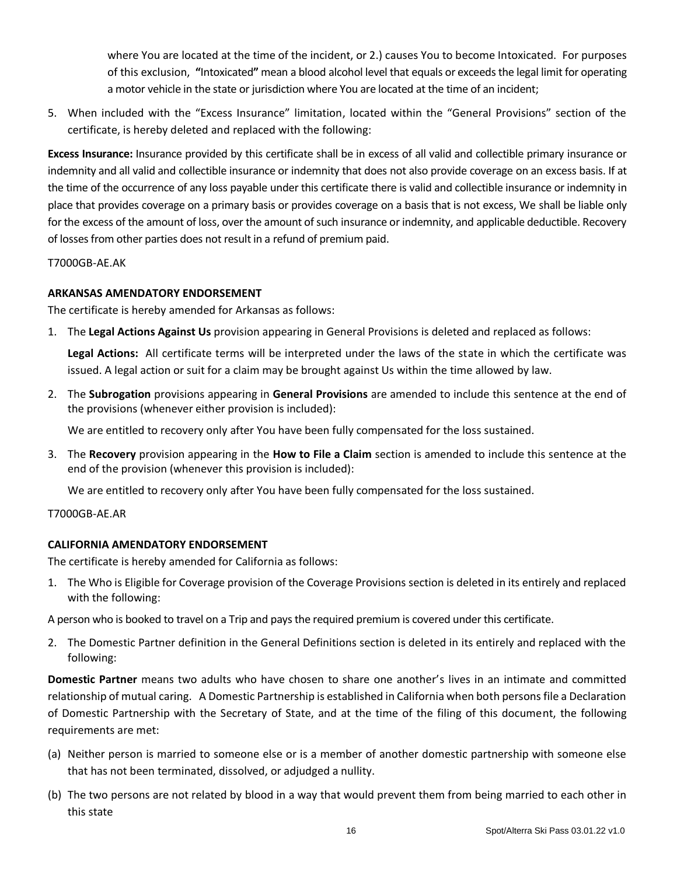where You are located at the time of the incident, or 2.) causes You to become Intoxicated. For purposes of this exclusion, **"**Intoxicated**"** mean a blood alcohol level that equals or exceeds the legal limit for operating a motor vehicle in the state or jurisdiction where You are located at the time of an incident;

5. When included with the "Excess Insurance" limitation, located within the "General Provisions" section of the certificate, is hereby deleted and replaced with the following:

**Excess Insurance:** Insurance provided by this certificate shall be in excess of all valid and collectible primary insurance or indemnity and all valid and collectible insurance or indemnity that does not also provide coverage on an excess basis. If at the time of the occurrence of any loss payable under this certificate there is valid and collectible insurance or indemnity in place that provides coverage on a primary basis or provides coverage on a basis that is not excess, We shall be liable only for the excess of the amount of loss, over the amount of such insurance or indemnity, and applicable deductible. Recovery of losses from other parties does not result in a refund of premium paid.

T7000GB-AE.AK

# **ARKANSAS AMENDATORY ENDORSEMENT**

The certificate is hereby amended for Arkansas as follows:

1. The **Legal Actions Against Us** provision appearing in General Provisions is deleted and replaced as follows:

**Legal Actions:** All certificate terms will be interpreted under the laws of the state in which the certificate was issued. A legal action or suit for a claim may be brought against Us within the time allowed by law.

2. The **Subrogation** provisions appearing in **General Provisions** are amended to include this sentence at the end of the provisions (whenever either provision is included):

We are entitled to recovery only after You have been fully compensated for the loss sustained.

3. The **Recovery** provision appearing in the **How to File a Claim** section is amended to include this sentence at the end of the provision (whenever this provision is included):

We are entitled to recovery only after You have been fully compensated for the loss sustained.

### T7000GB-AE.AR

### **CALIFORNIA AMENDATORY ENDORSEMENT**

The certificate is hereby amended for California as follows:

1. The Who is Eligible for Coverage provision of the Coverage Provisions section is deleted in its entirely and replaced with the following:

A person who is booked to travel on a Trip and pays the required premium is covered under this certificate.

2. The Domestic Partner definition in the General Definitions section is deleted in its entirely and replaced with the following:

**Domestic Partner** means two adults who have chosen to share one another's lives in an intimate and committed relationship of mutual caring. A Domestic Partnership is established in California when both persons file a Declaration of Domestic Partnership with the Secretary of State, and at the time of the filing of this document, the following requirements are met:

- (a) Neither person is married to someone else or is a member of another domestic partnership with someone else that has not been terminated, dissolved, or adjudged a nullity.
- (b) The two persons are not related by blood in a way that would prevent them from being married to each other in this state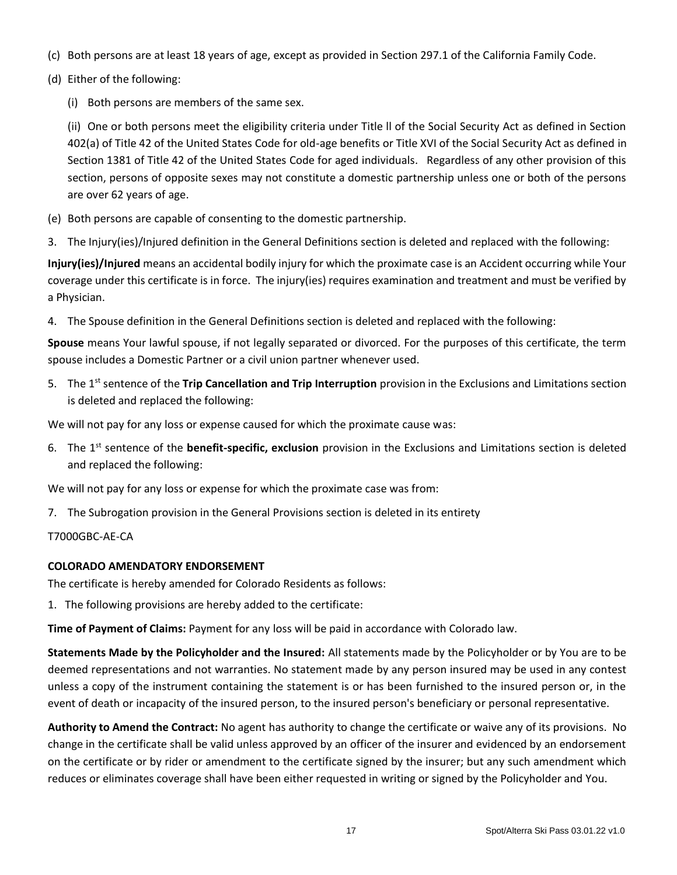- (c) Both persons are at least 18 years of age, except as provided in Section 297.1 of the California Family Code.
- (d) Either of the following:
	- (i) Both persons are members of the same sex.

(ii) One or both persons meet the eligibility criteria under Title ll of the Social Security Act as defined in Section 402(a) of Title 42 of the United States Code for old-age benefits or Title XVI of the Social Security Act as defined in Section 1381 of Title 42 of the United States Code for aged individuals. Regardless of any other provision of this section, persons of opposite sexes may not constitute a domestic partnership unless one or both of the persons are over 62 years of age.

- (e) Both persons are capable of consenting to the domestic partnership.
- 3. The Injury(ies)/Injured definition in the General Definitions section is deleted and replaced with the following:

**Injury(ies)/Injured** means an accidental bodily injury for which the proximate case is an Accident occurring while Your coverage under this certificate is in force. The injury(ies) requires examination and treatment and must be verified by a Physician.

4. The Spouse definition in the General Definitions section is deleted and replaced with the following:

**Spouse** means Your lawful spouse, if not legally separated or divorced. For the purposes of this certificate, the term spouse includes a Domestic Partner or a civil union partner whenever used.

5. The 1st sentence of the **Trip Cancellation and Trip Interruption** provision in the Exclusions and Limitations section is deleted and replaced the following:

We will not pay for any loss or expense caused for which the proximate cause was:

6. The 1st sentence of the **benefit-specific, exclusion** provision in the Exclusions and Limitations section is deleted and replaced the following:

We will not pay for any loss or expense for which the proximate case was from:

7. The Subrogation provision in the General Provisions section is deleted in its entirety

### T7000GBC-AE-CA

### **COLORADO AMENDATORY ENDORSEMENT**

The certificate is hereby amended for Colorado Residents as follows:

1. The following provisions are hereby added to the certificate:

**Time of Payment of Claims:** Payment for any loss will be paid in accordance with Colorado law.

**Statements Made by the Policyholder and the Insured:** All statements made by the Policyholder or by You are to be deemed representations and not warranties. No statement made by any person insured may be used in any contest unless a copy of the instrument containing the statement is or has been furnished to the insured person or, in the event of death or incapacity of the insured person, to the insured person's beneficiary or personal representative.

**Authority to Amend the Contract:** No agent has authority to change the certificate or waive any of its provisions. No change in the certificate shall be valid unless approved by an officer of the insurer and evidenced by an endorsement on the certificate or by rider or amendment to the certificate signed by the insurer; but any such amendment which reduces or eliminates coverage shall have been either requested in writing or signed by the Policyholder and You.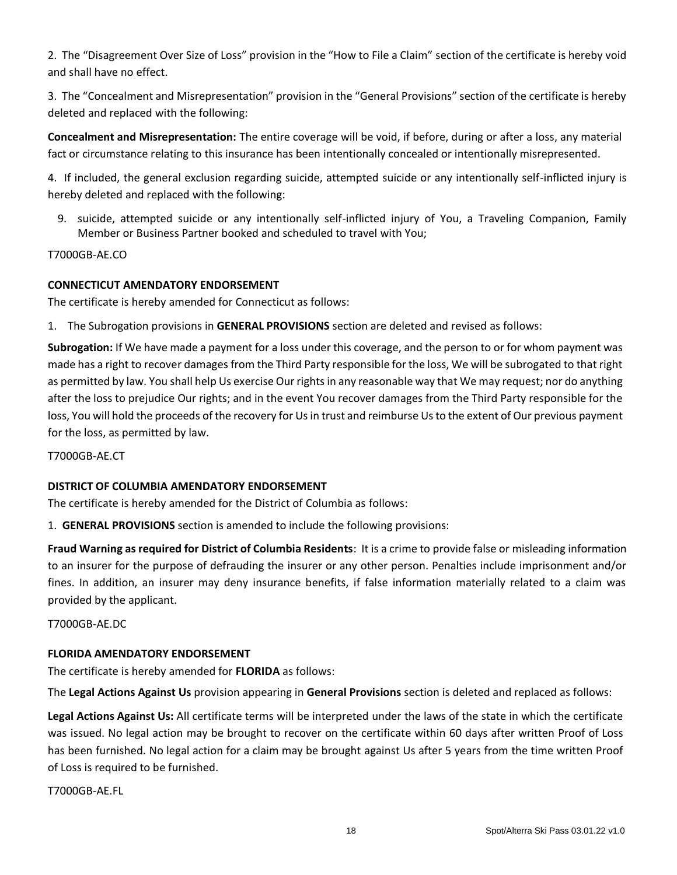2. The "Disagreement Over Size of Loss" provision in the "How to File a Claim" section of the certificate is hereby void and shall have no effect.

3. The "Concealment and Misrepresentation" provision in the "General Provisions" section of the certificate is hereby deleted and replaced with the following:

**Concealment and Misrepresentation:** The entire coverage will be void, if before, during or after a loss, any material fact or circumstance relating to this insurance has been intentionally concealed or intentionally misrepresented.

4. If included, the general exclusion regarding suicide, attempted suicide or any intentionally self-inflicted injury is hereby deleted and replaced with the following:

9. suicide, attempted suicide or any intentionally self-inflicted injury of You, a Traveling Companion, Family Member or Business Partner booked and scheduled to travel with You;

T7000GB-AE.CO

# **CONNECTICUT AMENDATORY ENDORSEMENT**

The certificate is hereby amended for Connecticut as follows:

1. The Subrogation provisions in **GENERAL PROVISIONS** section are deleted and revised as follows:

**Subrogation:** If We have made a payment for a loss under this coverage, and the person to or for whom payment was made has a right to recover damages from the Third Party responsible for the loss, We will be subrogated to that right as permitted by law. You shall help Us exercise Our rights in any reasonable way that We may request; nor do anything after the loss to prejudice Our rights; and in the event You recover damages from the Third Party responsible for the loss, You will hold the proceeds of the recovery for Us in trust and reimburse Us to the extent of Our previous payment for the loss, as permitted by law.

T7000GB-AE.CT

### **DISTRICT OF COLUMBIA AMENDATORY ENDORSEMENT**

The certificate is hereby amended for the District of Columbia as follows:

1. **GENERAL PROVISIONS** section is amended to include the following provisions:

**Fraud Warning as required for District of Columbia Residents**: It is a crime to provide false or misleading information to an insurer for the purpose of defrauding the insurer or any other person. Penalties include imprisonment and/or fines. In addition, an insurer may deny insurance benefits, if false information materially related to a claim was provided by the applicant.

T7000GB-AE.DC

### **FLORIDA AMENDATORY ENDORSEMENT**

The certificate is hereby amended for **FLORIDA** as follows:

The **Legal Actions Against Us** provision appearing in **General Provisions** section is deleted and replaced as follows:

**Legal Actions Against Us:** All certificate terms will be interpreted under the laws of the state in which the certificate was issued. No legal action may be brought to recover on the certificate within 60 days after written Proof of Loss has been furnished. No legal action for a claim may be brought against Us after 5 years from the time written Proof of Loss is required to be furnished.

T7000GB-AE.FL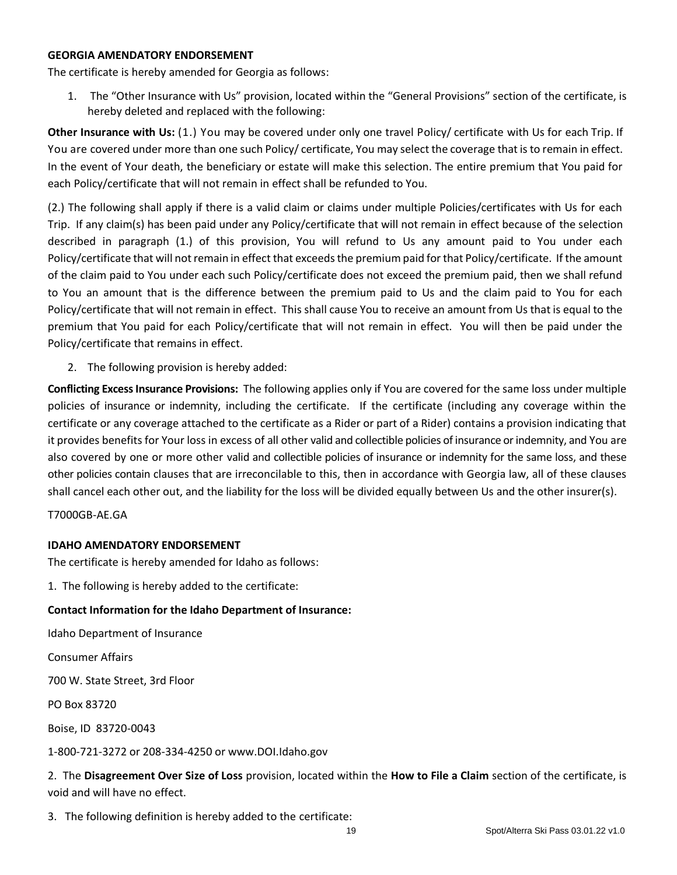#### **GEORGIA AMENDATORY ENDORSEMENT**

The certificate is hereby amended for Georgia as follows:

1. The "Other Insurance with Us" provision, located within the "General Provisions" section of the certificate, is hereby deleted and replaced with the following:

**Other Insurance with Us:** (1.) You may be covered under only one travel Policy/ certificate with Us for each Trip. If You are covered under more than one such Policy/ certificate, You may select the coverage that isto remain in effect. In the event of Your death, the beneficiary or estate will make this selection. The entire premium that You paid for each Policy/certificate that will not remain in effect shall be refunded to You.

(2.) The following shall apply if there is a valid claim or claims under multiple Policies/certificates with Us for each Trip. If any claim(s) has been paid under any Policy/certificate that will not remain in effect because of the selection described in paragraph (1.) of this provision, You will refund to Us any amount paid to You under each Policy/certificate that will not remain in effect that exceeds the premium paid for that Policy/certificate. If the amount of the claim paid to You under each such Policy/certificate does not exceed the premium paid, then we shall refund to You an amount that is the difference between the premium paid to Us and the claim paid to You for each Policy/certificate that will not remain in effect. This shall cause You to receive an amount from Us that is equal to the premium that You paid for each Policy/certificate that will not remain in effect. You will then be paid under the Policy/certificate that remains in effect.

2. The following provision is hereby added:

**Conflicting Excess Insurance Provisions:** The following applies only if You are covered for the same loss under multiple policies of insurance or indemnity, including the certificate. If the certificate (including any coverage within the certificate or any coverage attached to the certificate as a Rider or part of a Rider) contains a provision indicating that it provides benefits for Your loss in excess of all other valid and collectible policies of insurance or indemnity, and You are also covered by one or more other valid and collectible policies of insurance or indemnity for the same loss, and these other policies contain clauses that are irreconcilable to this, then in accordance with Georgia law, all of these clauses shall cancel each other out, and the liability for the loss will be divided equally between Us and the other insurer(s).

T7000GB-AE.GA

### **IDAHO AMENDATORY ENDORSEMENT**

The certificate is hereby amended for Idaho as follows:

1. The following is hereby added to the certificate:

### **Contact Information for the Idaho Department of Insurance:**

Idaho Department of Insurance

Consumer Affairs

700 W. State Street, 3rd Floor

PO Box 83720

Boise, ID 83720-0043

1-800-721-3272 or 208-334-4250 or www.DOI.Idaho.gov

2. The **Disagreement Over Size of Loss** provision, located within the **How to File a Claim** section of the certificate, is void and will have no effect.

3. The following definition is hereby added to the certificate: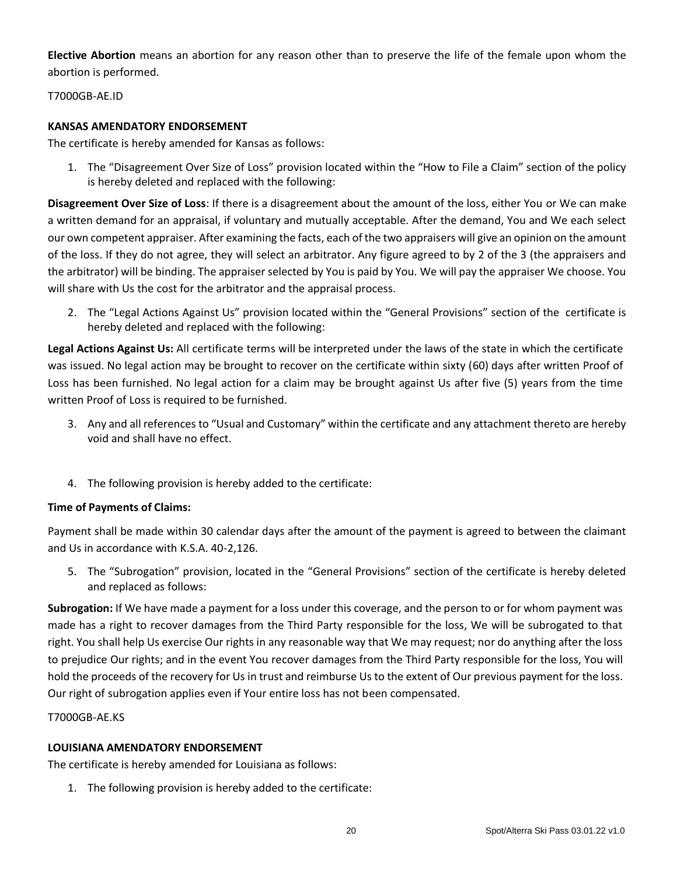**Elective Abortion** means an abortion for any reason other than to preserve the life of the female upon whom the abortion is performed.

T7000GB-AE.ID

### **KANSAS AMENDATORY ENDORSEMENT**

The certificate is hereby amended for Kansas as follows:

1. The "Disagreement Over Size of Loss" provision located within the "How to File a Claim" section of the policy is hereby deleted and replaced with the following:

**Disagreement Over Size of Loss**: If there is a disagreement about the amount of the loss, either You or We can make a written demand for an appraisal, if voluntary and mutually acceptable. After the demand, You and We each select our own competent appraiser. After examining the facts, each of the two appraisers will give an opinion on the amount of the loss. If they do not agree, they will select an arbitrator. Any figure agreed to by 2 of the 3 (the appraisers and the arbitrator) will be binding. The appraiser selected by You is paid by You. We will pay the appraiser We choose. You will share with Us the cost for the arbitrator and the appraisal process.

2. The "Legal Actions Against Us" provision located within the "General Provisions" section of the certificate is hereby deleted and replaced with the following:

**Legal Actions Against Us:** All certificate terms will be interpreted under the laws of the state in which the certificate was issued. No legal action may be brought to recover on the certificate within sixty (60) days after written Proof of Loss has been furnished. No legal action for a claim may be brought against Us after five (5) years from the time written Proof of Loss is required to be furnished.

- 3. Any and all references to "Usual and Customary" within the certificate and any attachment thereto are hereby void and shall have no effect.
- 4. The following provision is hereby added to the certificate:

# **Time of Payments of Claims:**

Payment shall be made within 30 calendar days after the amount of the payment is agreed to between the claimant and Us in accordance with K.S.A. 40-2,126.

5. The "Subrogation" provision, located in the "General Provisions" section of the certificate is hereby deleted and replaced as follows:

**Subrogation:** If We have made a payment for a loss under this coverage, and the person to or for whom payment was made has a right to recover damages from the Third Party responsible for the loss, We will be subrogated to that right. You shall help Us exercise Our rights in any reasonable way that We may request; nor do anything after the loss to prejudice Our rights; and in the event You recover damages from the Third Party responsible for the loss, You will hold the proceeds of the recovery for Us in trust and reimburse Us to the extent of Our previous payment for the loss. Our right of subrogation applies even if Your entire loss has not been compensated.

### T7000GB-AE.KS

# **LOUISIANA AMENDATORY ENDORSEMENT**

The certificate is hereby amended for Louisiana as follows:

1. The following provision is hereby added to the certificate: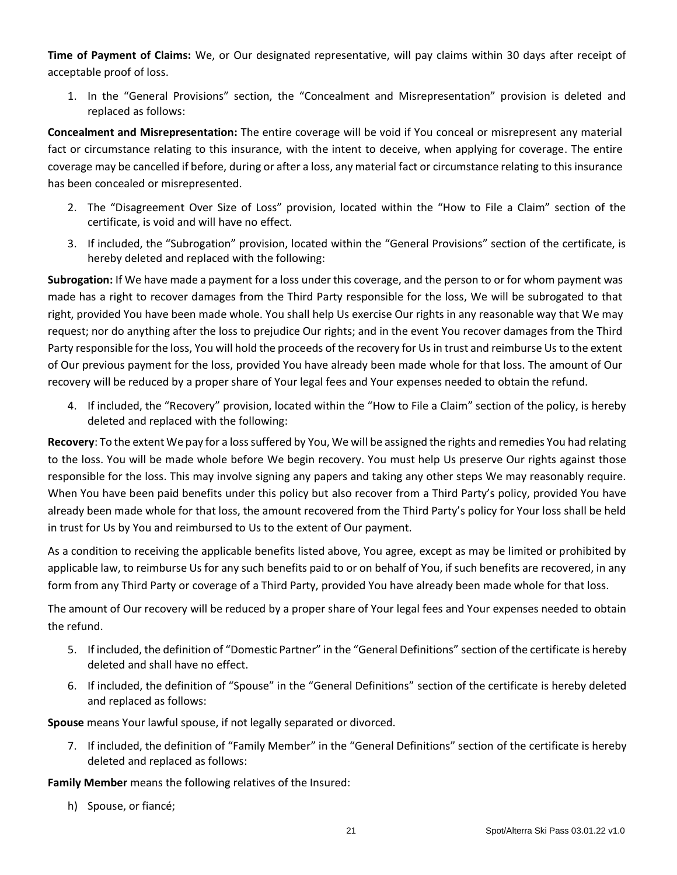**Time of Payment of Claims:** We, or Our designated representative, will pay claims within 30 days after receipt of acceptable proof of loss.

1. In the "General Provisions" section, the "Concealment and Misrepresentation" provision is deleted and replaced as follows:

**Concealment and Misrepresentation:** The entire coverage will be void if You conceal or misrepresent any material fact or circumstance relating to this insurance, with the intent to deceive, when applying for coverage. The entire coverage may be cancelled if before, during or after a loss, any material fact or circumstance relating to this insurance has been concealed or misrepresented.

- 2. The "Disagreement Over Size of Loss" provision, located within the "How to File a Claim" section of the certificate, is void and will have no effect.
- 3. If included, the "Subrogation" provision, located within the "General Provisions" section of the certificate, is hereby deleted and replaced with the following:

**Subrogation:** If We have made a payment for a loss under this coverage, and the person to or for whom payment was made has a right to recover damages from the Third Party responsible for the loss, We will be subrogated to that right, provided You have been made whole. You shall help Us exercise Our rights in any reasonable way that We may request; nor do anything after the loss to prejudice Our rights; and in the event You recover damages from the Third Party responsible for the loss, You will hold the proceeds of the recovery for Us in trust and reimburse Us to the extent of Our previous payment for the loss, provided You have already been made whole for that loss. The amount of Our recovery will be reduced by a proper share of Your legal fees and Your expenses needed to obtain the refund.

4. If included, the "Recovery" provision, located within the "How to File a Claim" section of the policy, is hereby deleted and replaced with the following:

**Recovery**: To the extent We pay for a loss suffered by You, We will be assigned the rights and remedies You had relating to the loss. You will be made whole before We begin recovery. You must help Us preserve Our rights against those responsible for the loss. This may involve signing any papers and taking any other steps We may reasonably require. When You have been paid benefits under this policy but also recover from a Third Party's policy, provided You have already been made whole for that loss, the amount recovered from the Third Party's policy for Your loss shall be held in trust for Us by You and reimbursed to Us to the extent of Our payment.

As a condition to receiving the applicable benefits listed above, You agree, except as may be limited or prohibited by applicable law, to reimburse Us for any such benefits paid to or on behalf of You, if such benefits are recovered, in any form from any Third Party or coverage of a Third Party, provided You have already been made whole for that loss.

The amount of Our recovery will be reduced by a proper share of Your legal fees and Your expenses needed to obtain the refund.

- 5. If included, the definition of "Domestic Partner" in the "General Definitions" section of the certificate is hereby deleted and shall have no effect.
- 6. If included, the definition of "Spouse" in the "General Definitions" section of the certificate is hereby deleted and replaced as follows:

**Spouse** means Your lawful spouse, if not legally separated or divorced.

7. If included, the definition of "Family Member" in the "General Definitions" section of the certificate is hereby deleted and replaced as follows:

**Family Member** means the following relatives of the Insured:

h) Spouse, or fiancé;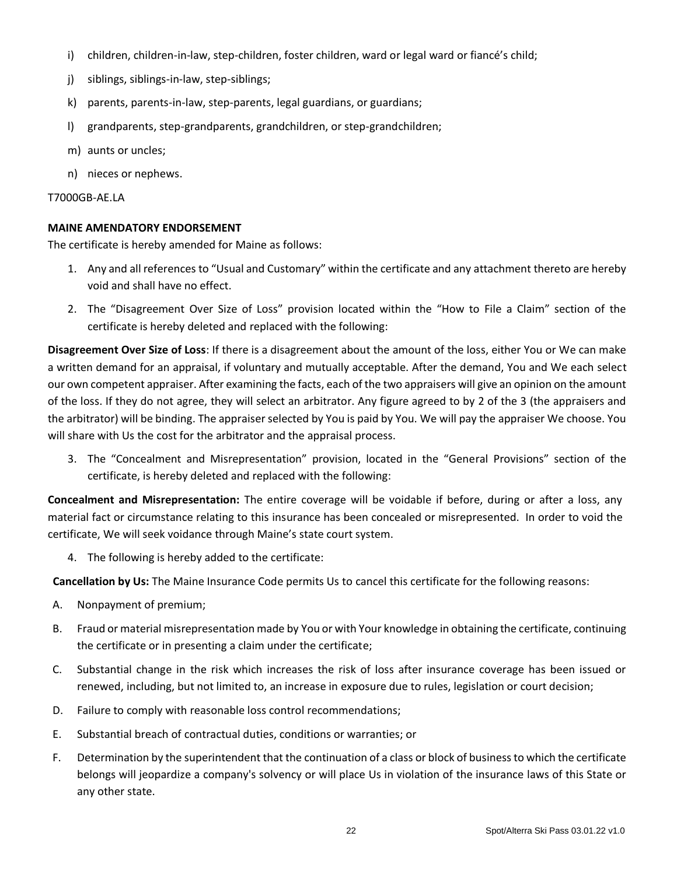- i) children, children-in-law, step-children, foster children, ward or legal ward or fiancé's child;
- j) siblings, siblings-in-law, step-siblings;
- k) parents, parents-in-law, step-parents, legal guardians, or guardians;
- l) grandparents, step-grandparents, grandchildren, or step-grandchildren;
- m) aunts or uncles;
- n) nieces or nephews.

### T7000GB-AE.LA

# **MAINE AMENDATORY ENDORSEMENT**

The certificate is hereby amended for Maine as follows:

- 1. Any and all references to "Usual and Customary" within the certificate and any attachment thereto are hereby void and shall have no effect.
- 2. The "Disagreement Over Size of Loss" provision located within the "How to File a Claim" section of the certificate is hereby deleted and replaced with the following:

**Disagreement Over Size of Loss**: If there is a disagreement about the amount of the loss, either You or We can make a written demand for an appraisal, if voluntary and mutually acceptable. After the demand, You and We each select our own competent appraiser. After examining the facts, each of the two appraisers will give an opinion on the amount of the loss. If they do not agree, they will select an arbitrator. Any figure agreed to by 2 of the 3 (the appraisers and the arbitrator) will be binding. The appraiser selected by You is paid by You. We will pay the appraiser We choose. You will share with Us the cost for the arbitrator and the appraisal process.

3. The "Concealment and Misrepresentation" provision, located in the "General Provisions" section of the certificate, is hereby deleted and replaced with the following:

**Concealment and Misrepresentation:** The entire coverage will be voidable if before, during or after a loss, any material fact or circumstance relating to this insurance has been concealed or misrepresented. In order to void the certificate, We will seek voidance through Maine's state court system.

4. The following is hereby added to the certificate:

**Cancellation by Us:** The Maine Insurance Code permits Us to cancel this certificate for the following reasons:

- A. Nonpayment of premium;
- B. Fraud or material misrepresentation made by You or with Your knowledge in obtaining the certificate, continuing the certificate or in presenting a claim under the certificate;
- C. Substantial change in the risk which increases the risk of loss after insurance coverage has been issued or renewed, including, but not limited to, an increase in exposure due to rules, legislation or court decision;
- D. Failure to comply with reasonable loss control recommendations;
- E. Substantial breach of contractual duties, conditions or warranties; or
- F. Determination by the superintendent that the continuation of a class or block of business to which the certificate belongs will jeopardize a company's solvency or will place Us in violation of the insurance laws of this State or any other state.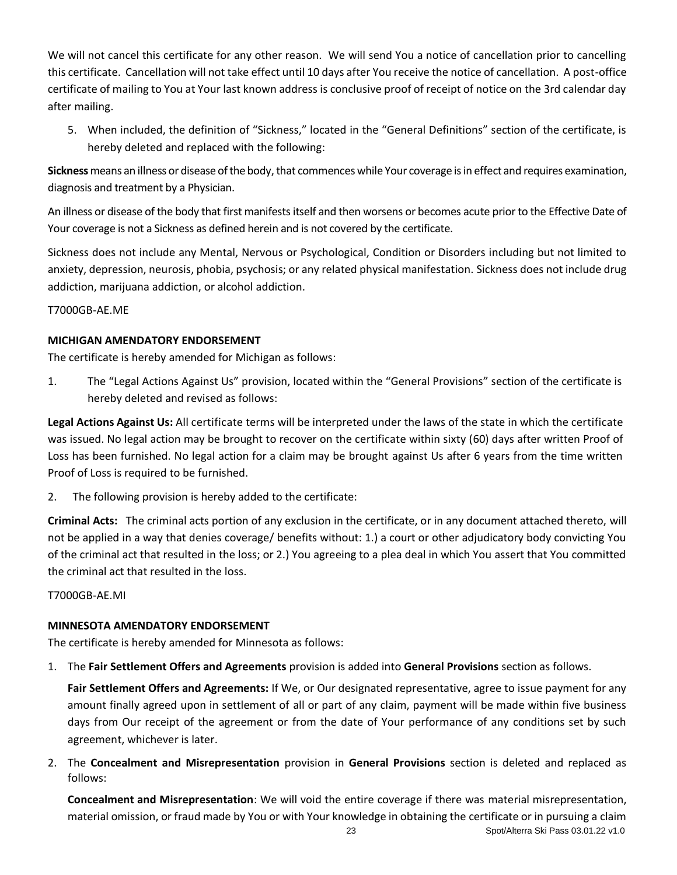We will not cancel this certificate for any other reason. We will send You a notice of cancellation prior to cancelling this certificate. Cancellation will not take effect until 10 days after You receive the notice of cancellation. A post-office certificate of mailing to You at Your last known address is conclusive proof of receipt of notice on the 3rd calendar day after mailing.

5. When included, the definition of "Sickness," located in the "General Definitions" section of the certificate, is hereby deleted and replaced with the following:

**Sickness** means an illness or disease of the body, that commences while Your coverage is in effect and requires examination, diagnosis and treatment by a Physician.

An illness or disease of the body that first manifests itself and then worsens or becomes acute prior to the Effective Date of Your coverage is not a Sickness as defined herein and is not covered by the certificate.

Sickness does not include any Mental, Nervous or Psychological, Condition or Disorders including but not limited to anxiety, depression, neurosis, phobia, psychosis; or any related physical manifestation. Sickness does not include drug addiction, marijuana addiction, or alcohol addiction.

T7000GB-AE.ME

# **MICHIGAN AMENDATORY ENDORSEMENT**

The certificate is hereby amended for Michigan as follows:

1. The "Legal Actions Against Us" provision, located within the "General Provisions" section of the certificate is hereby deleted and revised as follows:

**Legal Actions Against Us:** All certificate terms will be interpreted under the laws of the state in which the certificate was issued. No legal action may be brought to recover on the certificate within sixty (60) days after written Proof of Loss has been furnished. No legal action for a claim may be brought against Us after 6 years from the time written Proof of Loss is required to be furnished.

2. The following provision is hereby added to the certificate:

**Criminal Acts:** The criminal acts portion of any exclusion in the certificate, or in any document attached thereto, will not be applied in a way that denies coverage/ benefits without: 1.) a court or other adjudicatory body convicting You of the criminal act that resulted in the loss; or 2.) You agreeing to a plea deal in which You assert that You committed the criminal act that resulted in the loss.

T7000GB-AE.MI

# **MINNESOTA AMENDATORY ENDORSEMENT**

The certificate is hereby amended for Minnesota as follows:

1. The **Fair Settlement Offers and Agreements** provision is added into **General Provisions** section as follows.

**Fair Settlement Offers and Agreements:** If We, or Our designated representative, agree to issue payment for any amount finally agreed upon in settlement of all or part of any claim, payment will be made within five business days from Our receipt of the agreement or from the date of Your performance of any conditions set by such agreement, whichever is later.

2. The **Concealment and Misrepresentation** provision in **General Provisions** section is deleted and replaced as follows:

**Concealment and Misrepresentation**: We will void the entire coverage if there was material misrepresentation, material omission, or fraud made by You or with Your knowledge in obtaining the certificate or in pursuing a claim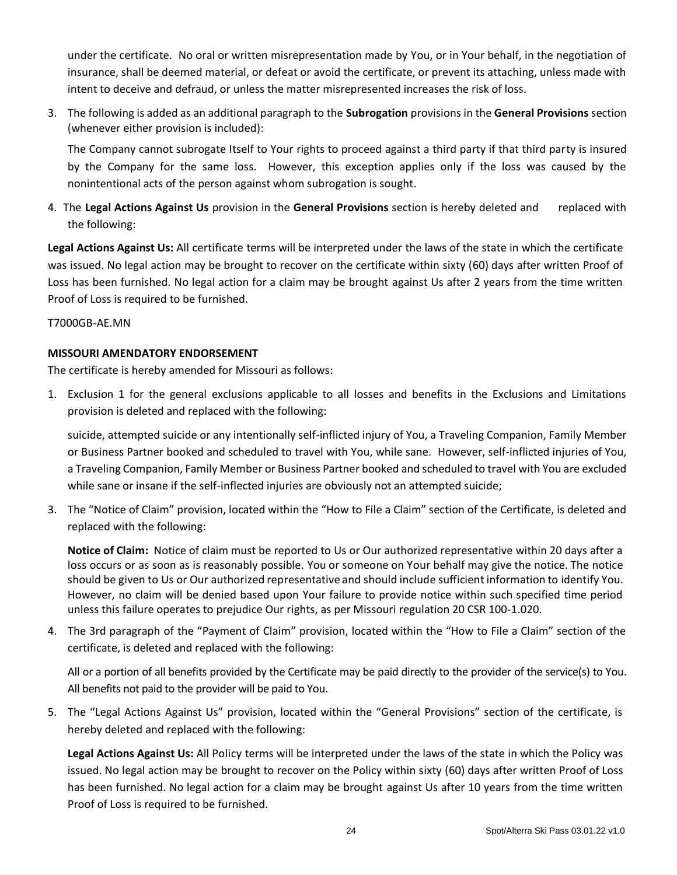under the certificate. No oral or written misrepresentation made by You, or in Your behalf, in the negotiation of insurance, shall be deemed material, or defeat or avoid the certificate, or prevent its attaching, unless made with intent to deceive and defraud, or unless the matter misrepresented increases the risk of loss.

3. The following is added as an additional paragraph to the **Subrogation** provisions in the **General Provisions** section (whenever either provision is included):

The Company cannot subrogate Itself to Your rights to proceed against a third party if that third party is insured by the Company for the same loss. However, this exception applies only if the loss was caused by the nonintentional acts of the person against whom subrogation is sought.

4. The **Legal Actions Against Us** provision in the **General Provisions** section is hereby deleted and replaced with the following:

**Legal Actions Against Us:** All certificate terms will be interpreted under the laws of the state in which the certificate was issued. No legal action may be brought to recover on the certificate within sixty (60) days after written Proof of Loss has been furnished. No legal action for a claim may be brought against Us after 2 years from the time written Proof of Loss is required to be furnished.

T7000GB-AE.MN

# **MISSOURI AMENDATORY ENDORSEMENT**

The certificate is hereby amended for Missouri as follows:

1. Exclusion 1 for the general exclusions applicable to all losses and benefits in the Exclusions and Limitations provision is deleted and replaced with the following:

suicide, attempted suicide or any intentionally self-inflicted injury of You, a Traveling Companion, Family Member or Business Partner booked and scheduled to travel with You, while sane. However, self-inflicted injuries of You, a Traveling Companion, Family Member or Business Partner booked and scheduled to travel with You are excluded while sane or insane if the self-inflected injuries are obviously not an attempted suicide;

3. The "Notice of Claim" provision, located within the "How to File a Claim" section of the Certificate, is deleted and replaced with the following:

**Notice of Claim:** Notice of claim must be reported to Us or Our authorized representative within 20 days after a loss occurs or as soon as is reasonably possible. You or someone on Your behalf may give the notice. The notice should be given to Us or Our authorized representative and should include sufficient information to identify You. However, no claim will be denied based upon Your failure to provide notice within such specified time period unless this failure operates to prejudice Our rights, as per Missouri regulation 20 CSR 100-1.020.

4. The 3rd paragraph of the "Payment of Claim" provision, located within the "How to File a Claim" section of the certificate, is deleted and replaced with the following:

All or a portion of all benefits provided by the Certificate may be paid directly to the provider of the service(s) to You. All benefits not paid to the provider will be paid to You.

5. The "Legal Actions Against Us" provision, located within the "General Provisions" section of the certificate, is hereby deleted and replaced with the following:

**Legal Actions Against Us:** All Policy terms will be interpreted under the laws of the state in which the Policy was issued. No legal action may be brought to recover on the Policy within sixty (60) days after written Proof of Loss has been furnished. No legal action for a claim may be brought against Us after 10 years from the time written Proof of Loss is required to be furnished.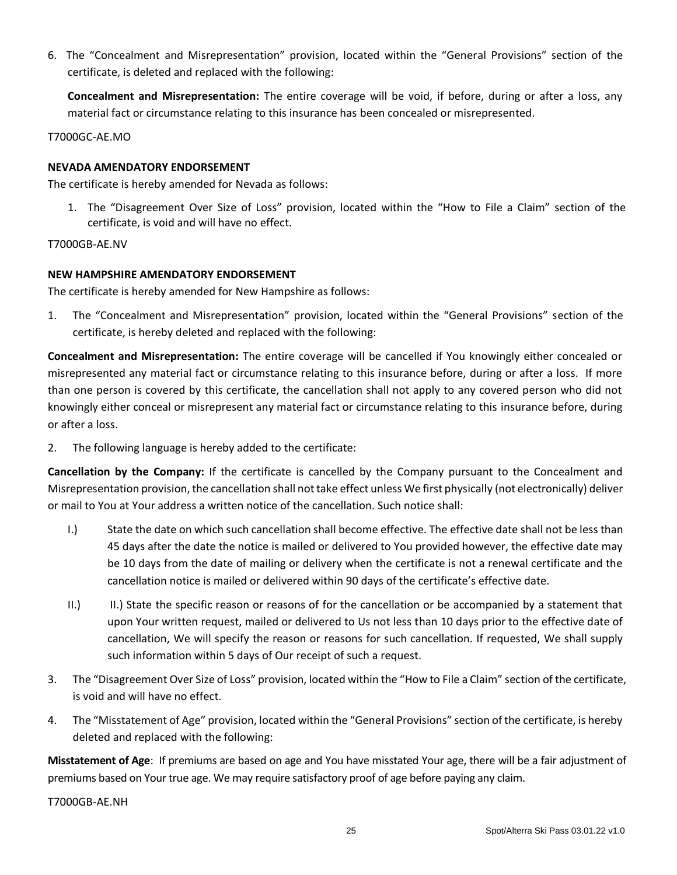6. The "Concealment and Misrepresentation" provision, located within the "General Provisions" section of the certificate, is deleted and replaced with the following:

**Concealment and Misrepresentation:** The entire coverage will be void, if before, during or after a loss, any material fact or circumstance relating to this insurance has been concealed or misrepresented.

T7000GC-AE.MO

### **NEVADA AMENDATORY ENDORSEMENT**

The certificate is hereby amended for Nevada as follows:

1. The "Disagreement Over Size of Loss" provision, located within the "How to File a Claim" section of the certificate, is void and will have no effect.

T7000GB-AE.NV

### **NEW HAMPSHIRE AMENDATORY ENDORSEMENT**

The certificate is hereby amended for New Hampshire as follows:

1. The "Concealment and Misrepresentation" provision, located within the "General Provisions" section of the certificate, is hereby deleted and replaced with the following:

**Concealment and Misrepresentation:** The entire coverage will be cancelled if You knowingly either concealed or misrepresented any material fact or circumstance relating to this insurance before, during or after a loss. If more than one person is covered by this certificate, the cancellation shall not apply to any covered person who did not knowingly either conceal or misrepresent any material fact or circumstance relating to this insurance before, during or after a loss.

2. The following language is hereby added to the certificate:

**Cancellation by the Company:** If the certificate is cancelled by the Company pursuant to the Concealment and Misrepresentation provision, the cancellation shall not take effect unless We first physically (not electronically) deliver or mail to You at Your address a written notice of the cancellation. Such notice shall:

- I.) State the date on which such cancellation shall become effective. The effective date shall not be less than 45 days after the date the notice is mailed or delivered to You provided however, the effective date may be 10 days from the date of mailing or delivery when the certificate is not a renewal certificate and the cancellation notice is mailed or delivered within 90 days of the certificate's effective date.
- II.) II.) State the specific reason or reasons of for the cancellation or be accompanied by a statement that upon Your written request, mailed or delivered to Us not less than 10 days prior to the effective date of cancellation, We will specify the reason or reasons for such cancellation. If requested, We shall supply such information within 5 days of Our receipt of such a request.
- 3. The "Disagreement Over Size of Loss" provision, located within the "How to File a Claim" section of the certificate, is void and will have no effect.
- 4. The "Misstatement of Age" provision, located within the "General Provisions" section of the certificate, is hereby deleted and replaced with the following:

**Misstatement of Age**: If premiums are based on age and You have misstated Your age, there will be a fair adjustment of premiums based on Your true age. We may require satisfactory proof of age before paying any claim.

T7000GB-AE.NH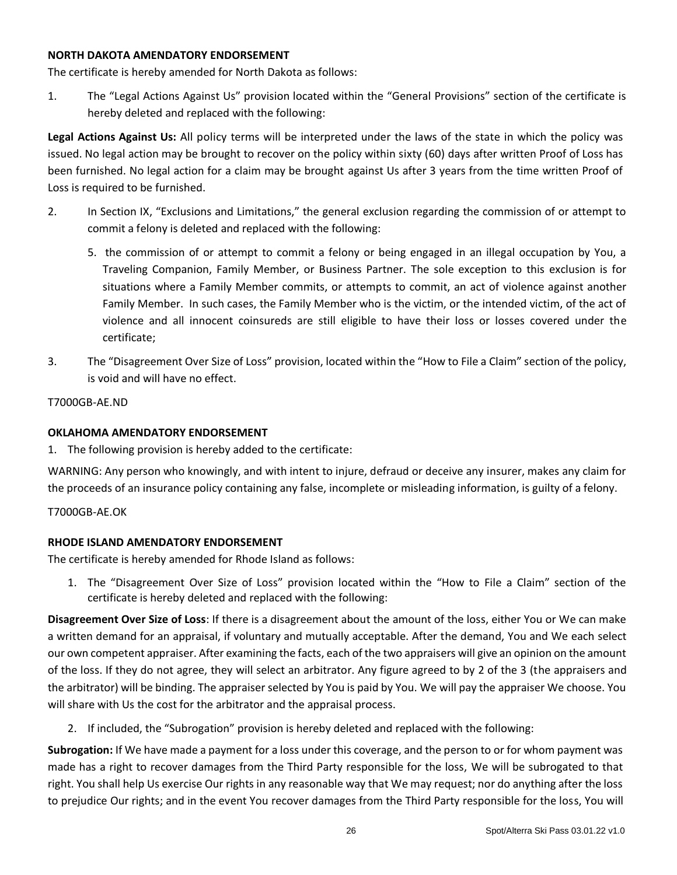#### **NORTH DAKOTA AMENDATORY ENDORSEMENT**

The certificate is hereby amended for North Dakota as follows:

1. The "Legal Actions Against Us" provision located within the "General Provisions" section of the certificate is hereby deleted and replaced with the following:

**Legal Actions Against Us:** All policy terms will be interpreted under the laws of the state in which the policy was issued. No legal action may be brought to recover on the policy within sixty (60) days after written Proof of Loss has been furnished. No legal action for a claim may be brought against Us after 3 years from the time written Proof of Loss is required to be furnished.

- 2. In Section IX, "Exclusions and Limitations," the general exclusion regarding the commission of or attempt to commit a felony is deleted and replaced with the following:
	- 5. the commission of or attempt to commit a felony or being engaged in an illegal occupation by You, a Traveling Companion, Family Member, or Business Partner. The sole exception to this exclusion is for situations where a Family Member commits, or attempts to commit, an act of violence against another Family Member. In such cases, the Family Member who is the victim, or the intended victim, of the act of violence and all innocent coinsureds are still eligible to have their loss or losses covered under the certificate;
- 3. The "Disagreement Over Size of Loss" provision, located within the "How to File a Claim" section of the policy, is void and will have no effect.

T7000GB-AE.ND

# **OKLAHOMA AMENDATORY ENDORSEMENT**

1. The following provision is hereby added to the certificate:

WARNING: Any person who knowingly, and with intent to injure, defraud or deceive any insurer, makes any claim for the proceeds of an insurance policy containing any false, incomplete or misleading information, is guilty of a felony.

T7000GB-AE.OK

# **RHODE ISLAND AMENDATORY ENDORSEMENT**

The certificate is hereby amended for Rhode Island as follows:

1. The "Disagreement Over Size of Loss" provision located within the "How to File a Claim" section of the certificate is hereby deleted and replaced with the following:

**Disagreement Over Size of Loss**: If there is a disagreement about the amount of the loss, either You or We can make a written demand for an appraisal, if voluntary and mutually acceptable. After the demand, You and We each select our own competent appraiser. After examining the facts, each of the two appraisers will give an opinion on the amount of the loss. If they do not agree, they will select an arbitrator. Any figure agreed to by 2 of the 3 (the appraisers and the arbitrator) will be binding. The appraiser selected by You is paid by You. We will pay the appraiser We choose. You will share with Us the cost for the arbitrator and the appraisal process.

2. If included, the "Subrogation" provision is hereby deleted and replaced with the following:

**Subrogation:** If We have made a payment for a loss under this coverage, and the person to or for whom payment was made has a right to recover damages from the Third Party responsible for the loss, We will be subrogated to that right. You shall help Us exercise Our rights in any reasonable way that We may request; nor do anything after the loss to prejudice Our rights; and in the event You recover damages from the Third Party responsible for the loss, You will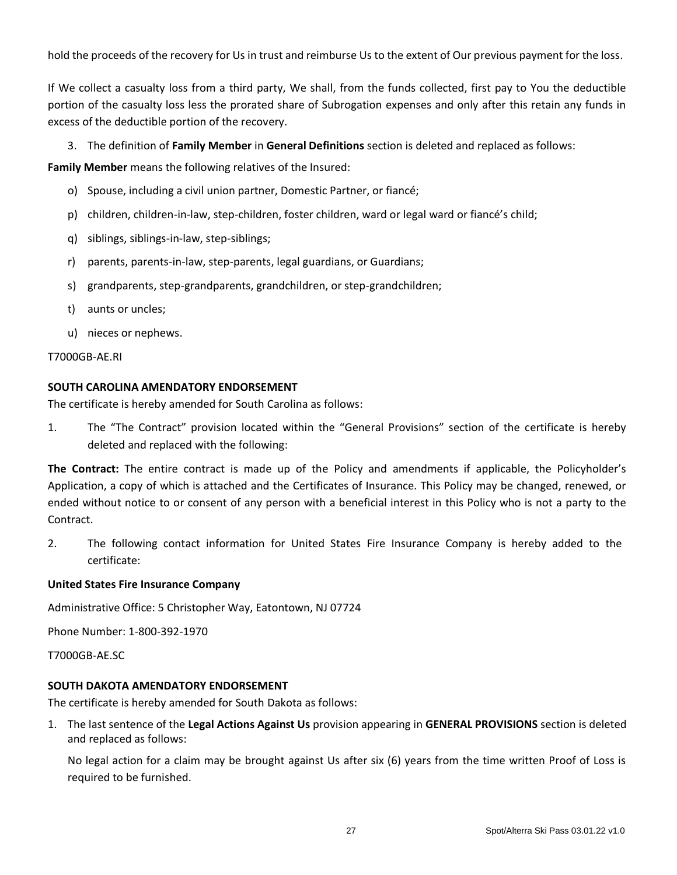hold the proceeds of the recovery for Us in trust and reimburse Us to the extent of Our previous payment for the loss.

If We collect a casualty loss from a third party, We shall, from the funds collected, first pay to You the deductible portion of the casualty loss less the prorated share of Subrogation expenses and only after this retain any funds in excess of the deductible portion of the recovery.

3. The definition of **Family Member** in **General Definitions** section is deleted and replaced as follows:

**Family Member** means the following relatives of the Insured:

- o) Spouse, including a civil union partner, Domestic Partner, or fiancé;
- p) children, children-in-law, step-children, foster children, ward or legal ward or fiancé's child;
- q) siblings, siblings-in-law, step-siblings;
- r) parents, parents-in-law, step-parents, legal guardians, or Guardians;
- s) grandparents, step-grandparents, grandchildren, or step-grandchildren;
- t) aunts or uncles;
- u) nieces or nephews.

#### T7000GB-AE.RI

#### **SOUTH CAROLINA AMENDATORY ENDORSEMENT**

The certificate is hereby amended for South Carolina as follows:

1. The "The Contract" provision located within the "General Provisions" section of the certificate is hereby deleted and replaced with the following:

**The Contract:** The entire contract is made up of the Policy and amendments if applicable, the Policyholder's Application, a copy of which is attached and the Certificates of Insurance. This Policy may be changed, renewed, or ended without notice to or consent of any person with a beneficial interest in this Policy who is not a party to the Contract.

2. The following contact information for United States Fire Insurance Company is hereby added to the certificate:

### **United States Fire Insurance Company**

Administrative Office: 5 Christopher Way, Eatontown, NJ 07724

Phone Number: 1-800-392-1970

T7000GB-AE.SC

### **SOUTH DAKOTA AMENDATORY ENDORSEMENT**

The certificate is hereby amended for South Dakota as follows:

1. The last sentence of the **Legal Actions Against Us** provision appearing in **GENERAL PROVISIONS** section is deleted and replaced as follows:

No legal action for a claim may be brought against Us after six (6) years from the time written Proof of Loss is required to be furnished.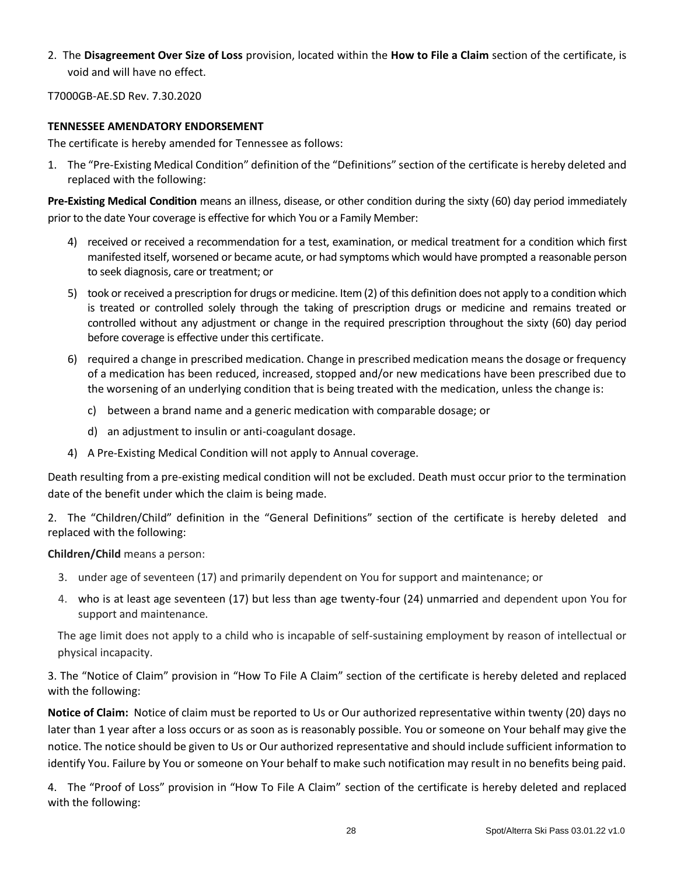2. The **Disagreement Over Size of Loss** provision, located within the **How to File a Claim** section of the certificate, is void and will have no effect.

T7000GB-AE.SD Rev. 7.30.2020

### **TENNESSEE AMENDATORY ENDORSEMENT**

The certificate is hereby amended for Tennessee as follows:

1. The "Pre-Existing Medical Condition" definition of the "Definitions" section of the certificate is hereby deleted and replaced with the following:

**Pre-Existing Medical Condition** means an illness, disease, or other condition during the sixty (60) day period immediately prior to the date Your coverage is effective for which You or a Family Member:

- 4) received or received a recommendation for a test, examination, or medical treatment for a condition which first manifested itself, worsened or became acute, or had symptoms which would have prompted a reasonable person to seek diagnosis, care or treatment; or
- 5) took or received a prescription for drugs or medicine. Item (2) of this definition does not apply to a condition which is treated or controlled solely through the taking of prescription drugs or medicine and remains treated or controlled without any adjustment or change in the required prescription throughout the sixty (60) day period before coverage is effective under this certificate.
- 6) required a change in prescribed medication. Change in prescribed medication means the dosage or frequency of a medication has been reduced, increased, stopped and/or new medications have been prescribed due to the worsening of an underlying condition that is being treated with the medication, unless the change is:
	- c) between a brand name and a generic medication with comparable dosage; or
	- d) an adjustment to insulin or anti-coagulant dosage.
- 4) A Pre-Existing Medical Condition will not apply to Annual coverage.

Death resulting from a pre-existing medical condition will not be excluded. Death must occur prior to the termination date of the benefit under which the claim is being made.

2. The "Children/Child" definition in the "General Definitions" section of the certificate is hereby deleted and replaced with the following:

#### **Children/Child** means a person:

- 3. under age of seventeen (17) and primarily dependent on You for support and maintenance; or
- 4. who is at least age seventeen (17) but less than age twenty-four (24) unmarried and dependent upon You for support and maintenance.

The age limit does not apply to a child who is incapable of self-sustaining employment by reason of intellectual or physical incapacity.

3. The "Notice of Claim" provision in "How To File A Claim" section of the certificate is hereby deleted and replaced with the following:

**Notice of Claim:** Notice of claim must be reported to Us or Our authorized representative within twenty (20) days no later than 1 year after a loss occurs or as soon as is reasonably possible. You or someone on Your behalf may give the notice. The notice should be given to Us or Our authorized representative and should include sufficient information to identify You. Failure by You or someone on Your behalf to make such notification may result in no benefits being paid.

4. The "Proof of Loss" provision in "How To File A Claim" section of the certificate is hereby deleted and replaced with the following: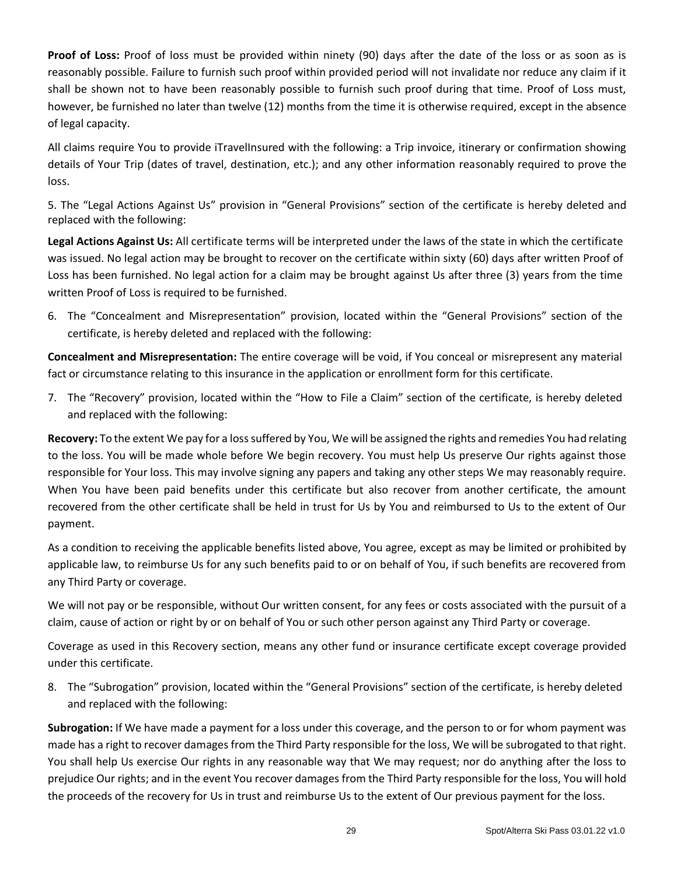**Proof of Loss:** Proof of loss must be provided within ninety (90) days after the date of the loss or as soon as is reasonably possible. Failure to furnish such proof within provided period will not invalidate nor reduce any claim if it shall be shown not to have been reasonably possible to furnish such proof during that time. Proof of Loss must, however, be furnished no later than twelve (12) months from the time it is otherwise required, except in the absence of legal capacity.

All claims require You to provide iTravelInsured with the following: a Trip invoice, itinerary or confirmation showing details of Your Trip (dates of travel, destination, etc.); and any other information reasonably required to prove the loss.

5. The "Legal Actions Against Us" provision in "General Provisions" section of the certificate is hereby deleted and replaced with the following:

**Legal Actions Against Us:** All certificate terms will be interpreted under the laws of the state in which the certificate was issued. No legal action may be brought to recover on the certificate within sixty (60) days after written Proof of Loss has been furnished. No legal action for a claim may be brought against Us after three (3) years from the time written Proof of Loss is required to be furnished.

6. The "Concealment and Misrepresentation" provision, located within the "General Provisions" section of the certificate, is hereby deleted and replaced with the following:

**Concealment and Misrepresentation:** The entire coverage will be void, if You conceal or misrepresent any material fact or circumstance relating to this insurance in the application or enrollment form for this certificate.

7. The "Recovery" provision, located within the "How to File a Claim" section of the certificate, is hereby deleted and replaced with the following:

**Recovery:** To the extent We pay for a loss suffered by You, We will be assigned the rights and remedies You had relating to the loss. You will be made whole before We begin recovery. You must help Us preserve Our rights against those responsible for Your loss. This may involve signing any papers and taking any other steps We may reasonably require. When You have been paid benefits under this certificate but also recover from another certificate, the amount recovered from the other certificate shall be held in trust for Us by You and reimbursed to Us to the extent of Our payment.

As a condition to receiving the applicable benefits listed above, You agree, except as may be limited or prohibited by applicable law, to reimburse Us for any such benefits paid to or on behalf of You, if such benefits are recovered from any Third Party or coverage.

We will not pay or be responsible, without Our written consent, for any fees or costs associated with the pursuit of a claim, cause of action or right by or on behalf of You or such other person against any Third Party or coverage.

Coverage as used in this Recovery section, means any other fund or insurance certificate except coverage provided under this certificate.

8. The "Subrogation" provision, located within the "General Provisions" section of the certificate, is hereby deleted and replaced with the following:

**Subrogation:** If We have made a payment for a loss under this coverage, and the person to or for whom payment was made has a right to recover damages from the Third Party responsible for the loss, We will be subrogated to that right. You shall help Us exercise Our rights in any reasonable way that We may request; nor do anything after the loss to prejudice Our rights; and in the event You recover damages from the Third Party responsible for the loss, You will hold the proceeds of the recovery for Us in trust and reimburse Us to the extent of Our previous payment for the loss.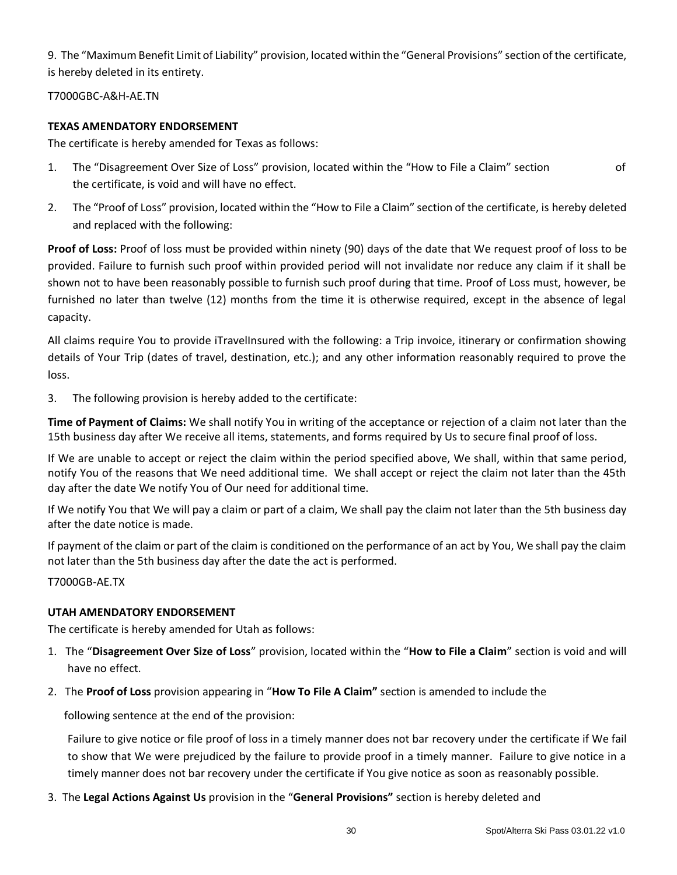9. The "Maximum Benefit Limit of Liability" provision, located within the "General Provisions" section of the certificate, is hereby deleted in its entirety.

T7000GBC-A&H-AE.TN

# **TEXAS AMENDATORY ENDORSEMENT**

The certificate is hereby amended for Texas as follows:

- 1. The "Disagreement Over Size of Loss" provision, located within the "How to File a Claim" section of the certificate, is void and will have no effect.
- 2. The "Proof of Loss" provision, located within the "How to File a Claim" section of the certificate, is hereby deleted and replaced with the following:

**Proof of Loss:** Proof of loss must be provided within ninety (90) days of the date that We request proof of loss to be provided. Failure to furnish such proof within provided period will not invalidate nor reduce any claim if it shall be shown not to have been reasonably possible to furnish such proof during that time. Proof of Loss must, however, be furnished no later than twelve (12) months from the time it is otherwise required, except in the absence of legal capacity.

All claims require You to provide iTravelInsured with the following: a Trip invoice, itinerary or confirmation showing details of Your Trip (dates of travel, destination, etc.); and any other information reasonably required to prove the loss.

3. The following provision is hereby added to the certificate:

**Time of Payment of Claims:** We shall notify You in writing of the acceptance or rejection of a claim not later than the 15th business day after We receive all items, statements, and forms required by Us to secure final proof of loss.

If We are unable to accept or reject the claim within the period specified above, We shall, within that same period, notify You of the reasons that We need additional time. We shall accept or reject the claim not later than the 45th day after the date We notify You of Our need for additional time.

If We notify You that We will pay a claim or part of a claim, We shall pay the claim not later than the 5th business day after the date notice is made.

If payment of the claim or part of the claim is conditioned on the performance of an act by You, We shall pay the claim not later than the 5th business day after the date the act is performed.

T7000GB-AE.TX

### **UTAH AMENDATORY ENDORSEMENT**

The certificate is hereby amended for Utah as follows:

- 1. The "**Disagreement Over Size of Loss**" provision, located within the "**How to File a Claim**" section is void and will have no effect.
- 2. The **Proof of Loss** provision appearing in "**How To File A Claim"** section is amended to include the

following sentence at the end of the provision:

Failure to give notice or file proof of loss in a timely manner does not bar recovery under the certificate if We fail to show that We were prejudiced by the failure to provide proof in a timely manner. Failure to give notice in a timely manner does not bar recovery under the certificate if You give notice as soon as reasonably possible.

3. The **Legal Actions Against Us** provision in the "**General Provisions"** section is hereby deleted and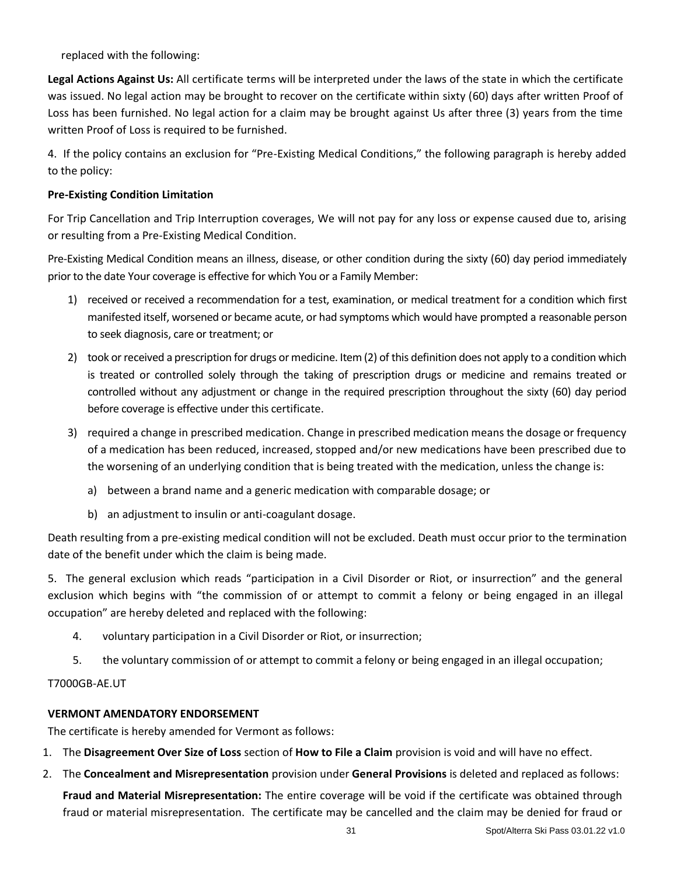replaced with the following:

**Legal Actions Against Us:** All certificate terms will be interpreted under the laws of the state in which the certificate was issued. No legal action may be brought to recover on the certificate within sixty (60) days after written Proof of Loss has been furnished. No legal action for a claim may be brought against Us after three (3) years from the time written Proof of Loss is required to be furnished.

4. If the policy contains an exclusion for "Pre-Existing Medical Conditions," the following paragraph is hereby added to the policy:

# **Pre-Existing Condition Limitation**

For Trip Cancellation and Trip Interruption coverages, We will not pay for any loss or expense caused due to, arising or resulting from a Pre-Existing Medical Condition.

Pre-Existing Medical Condition means an illness, disease, or other condition during the sixty (60) day period immediately prior to the date Your coverage is effective for which You or a Family Member:

- 1) received or received a recommendation for a test, examination, or medical treatment for a condition which first manifested itself, worsened or became acute, or had symptoms which would have prompted a reasonable person to seek diagnosis, care or treatment; or
- 2) took or received a prescription for drugs or medicine. Item (2) of this definition does not apply to a condition which is treated or controlled solely through the taking of prescription drugs or medicine and remains treated or controlled without any adjustment or change in the required prescription throughout the sixty (60) day period before coverage is effective under this certificate.
- 3) required a change in prescribed medication. Change in prescribed medication means the dosage or frequency of a medication has been reduced, increased, stopped and/or new medications have been prescribed due to the worsening of an underlying condition that is being treated with the medication, unless the change is:
	- a) between a brand name and a generic medication with comparable dosage; or
	- b) an adjustment to insulin or anti-coagulant dosage.

Death resulting from a pre-existing medical condition will not be excluded. Death must occur prior to the termination date of the benefit under which the claim is being made.

5. The general exclusion which reads "participation in a Civil Disorder or Riot, or insurrection" and the general exclusion which begins with "the commission of or attempt to commit a felony or being engaged in an illegal occupation" are hereby deleted and replaced with the following:

- 4. voluntary participation in a Civil Disorder or Riot, or insurrection;
- 5. the voluntary commission of or attempt to commit a felony or being engaged in an illegal occupation;

### T7000GB-AE.UT

### **VERMONT AMENDATORY ENDORSEMENT**

The certificate is hereby amended for Vermont as follows:

- 1. The **Disagreement Over Size of Loss** section of **How to File a Claim** provision is void and will have no effect.
- 2. The **Concealment and Misrepresentation** provision under **General Provisions** is deleted and replaced as follows: **Fraud and Material Misrepresentation:** The entire coverage will be void if the certificate was obtained through

fraud or material misrepresentation. The certificate may be cancelled and the claim may be denied for fraud or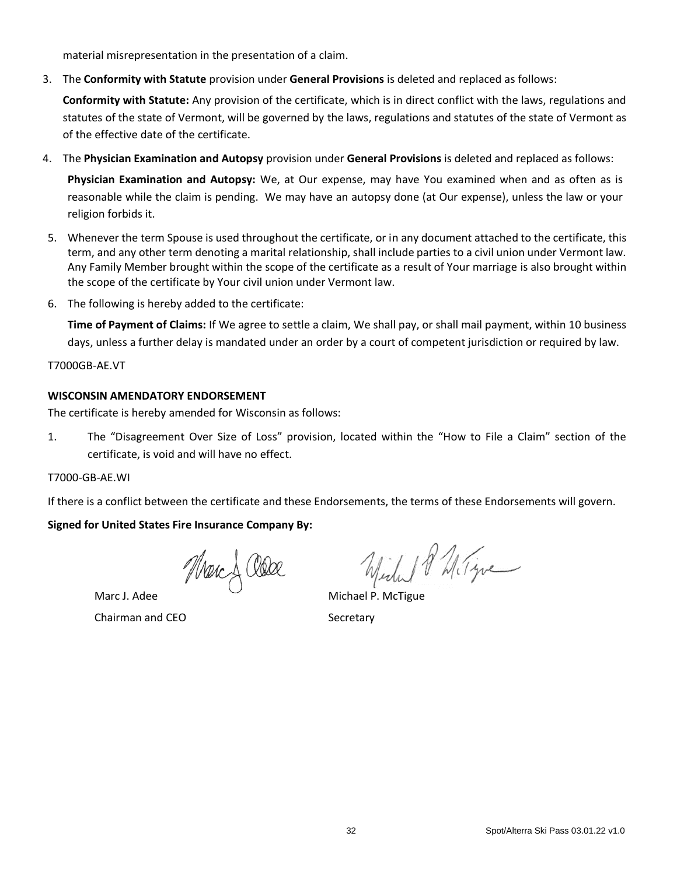material misrepresentation in the presentation of a claim.

3. The **Conformity with Statute** provision under **General Provisions** is deleted and replaced as follows:

**Conformity with Statute:** Any provision of the certificate, which is in direct conflict with the laws, regulations and statutes of the state of Vermont, will be governed by the laws, regulations and statutes of the state of Vermont as of the effective date of the certificate.

4. The **Physician Examination and Autopsy** provision under **General Provisions** is deleted and replaced as follows:

**Physician Examination and Autopsy:** We, at Our expense, may have You examined when and as often as is reasonable while the claim is pending. We may have an autopsy done (at Our expense), unless the law or your religion forbids it.

- 5. Whenever the term Spouse is used throughout the certificate, or in any document attached to the certificate, this term, and any other term denoting a marital relationship, shall include parties to a civil union under Vermont law. Any Family Member brought within the scope of the certificate as a result of Your marriage is also brought within the scope of the certificate by Your civil union under Vermont law.
- 6. The following is hereby added to the certificate:

**Time of Payment of Claims:** If We agree to settle a claim, We shall pay, or shall mail payment, within 10 business days, unless a further delay is mandated under an order by a court of competent jurisdiction or required by law.

T7000GB-AE.VT

# **WISCONSIN AMENDATORY ENDORSEMENT**

The certificate is hereby amended for Wisconsin as follows:

1. The "Disagreement Over Size of Loss" provision, located within the "How to File a Claim" section of the certificate, is void and will have no effect.

T7000-GB-AE.WI

If there is a conflict between the certificate and these Endorsements, the terms of these Endorsements will govern.

# **Signed for United States Fire Insurance Company By:**

Marc & Older

Marc J. Adee Chairman and CEO

Will 18 Milgre

Michael P. McTigue **Secretary**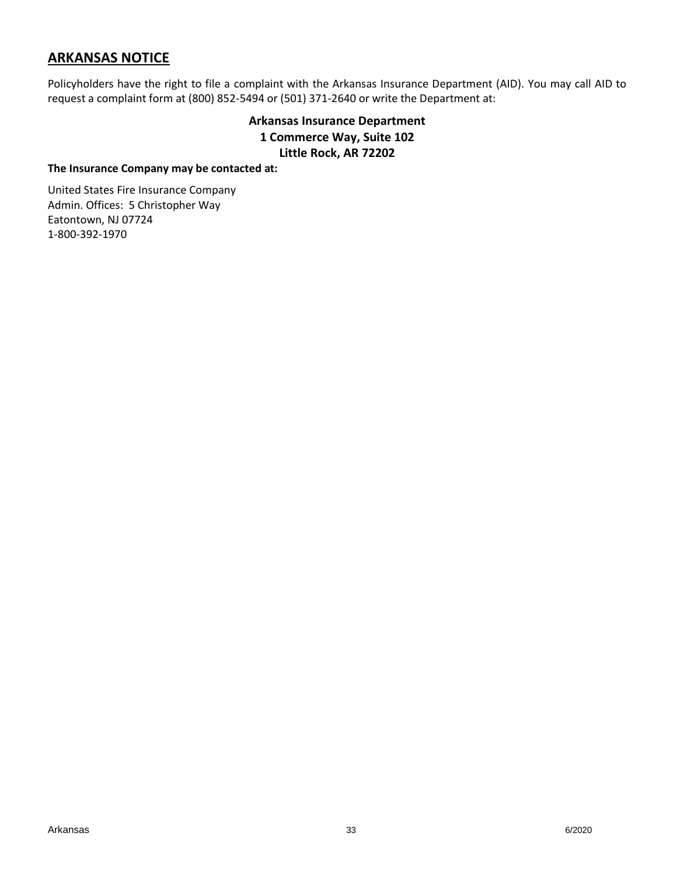# **ARKANSAS NOTICE**

Policyholders have the right to file a complaint with the Arkansas Insurance Department (AID). You may call AID to request a complaint form at (800) 852-5494 or (501) 371-2640 or write the Department at:

# **Arkansas Insurance Department 1 Commerce Way, Suite 102 Little Rock, AR 72202**

#### **The Insurance Company may be contacted at:**

United States Fire Insurance Company Admin. Offices: 5 Christopher Way Eatontown, NJ 07724 1-800-392-1970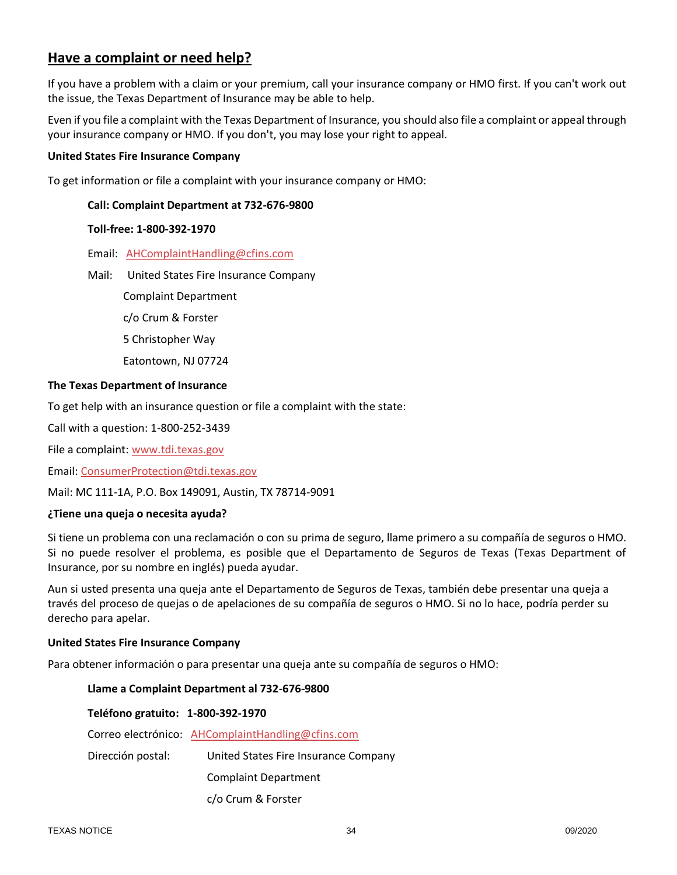# **Have a complaint or need help?**

If you have a problem with a claim or your premium, call your insurance company or HMO first. If you can't work out the issue, the Texas Department of Insurance may be able to help.

Even if you file a complaint with the Texas Department of Insurance, you should also file a complaint or appeal through your insurance company or HMO. If you don't, you may lose your right to appeal.

#### **United States Fire Insurance Company**

To get information or file a complaint with your insurance company or HMO:

#### **Call: Complaint Department at 732-676-9800**

#### **Toll-free: 1-800-392-1970**

- Email: [AHComplaintHandling@cfins.com](mailto:AHComplaintHandling@cfins.com)
- Mail: United States Fire Insurance Company
	- Complaint Department
		- c/o Crum & Forster
		- 5 Christopher Way
		- Eatontown, NJ 07724

#### **The Texas Department of Insurance**

To get help with an insurance question or file a complaint with the state:

Call with a question: 1-800-252-3439

File a complaint: [www.tdi.texas.gov](http://www.tdi.texas.gov/)

Email: [ConsumerProtection@tdi.texas.gov](mailto:ConsumerProtection@tdi.texas.gov)

Mail: MC 111-1A, P.O. Box 149091, Austin, TX 78714-9091

#### **¿Tiene una queja o necesita ayuda?**

Si tiene un problema con una reclamación o con su prima de seguro, llame primero a su compañía de seguros o HMO. Si no puede resolver el problema, es posible que el Departamento de Seguros de Texas (Texas Department of Insurance, por su nombre en inglés) pueda ayudar.

Aun si usted presenta una queja ante el Departamento de Seguros de Texas, también debe presentar una queja a través del proceso de quejas o de apelaciones de su compañía de seguros o HMO. Si no lo hace, podría perder su derecho para apelar.

#### **United States Fire Insurance Company**

Para obtener información o para presentar una queja ante su compañía de seguros o HMO:

#### **Llame a Complaint Department al 732-676-9800**

### **Teléfono gratuito: 1-800-392-1970**

Correo electrónico: [AHComplaintHandling@cfins.com](mailto:AHComplaintHandling@cfins.com)

Dirección postal: United States Fire Insurance Company

Complaint Department

c/o Crum & Forster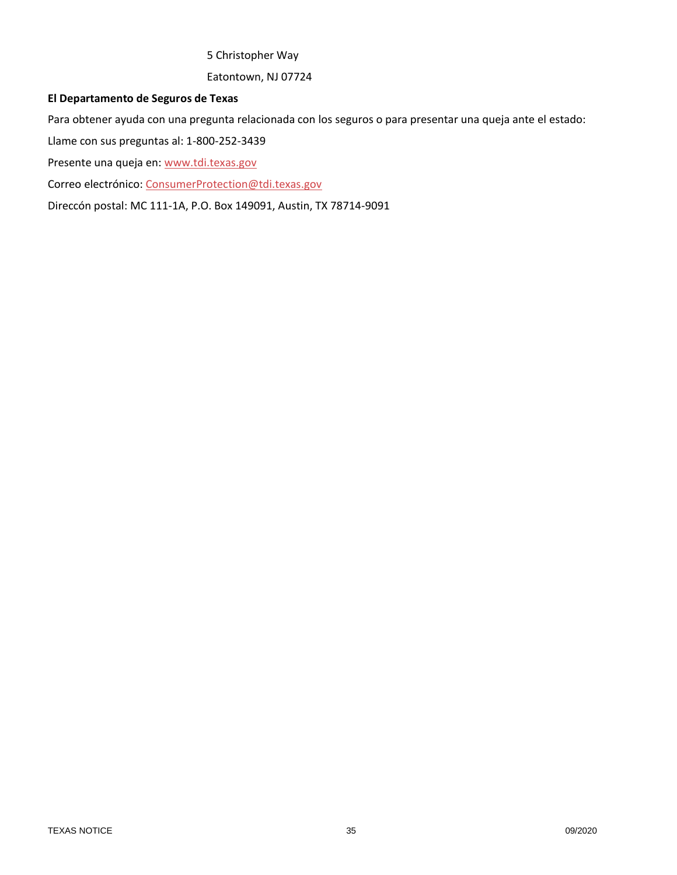# 5 Christopher Way

Eatontown, NJ 07724

### **El Departamento de Seguros de Texas**

Para obtener ayuda con una pregunta relacionada con los seguros o para presentar una queja ante el estado:

Llame con sus preguntas al: 1-800-252-3439

Presente una queja en: [www.tdi.texas.gov](http://www.tdi.texas.gov/)

Correo electrónico: [ConsumerProtection@tdi.texas.gov](mailto:ConsumerProtection@tdi.texas.gov)

Direccón postal: MC 111-1A, P.O. Box 149091, Austin, TX 78714-9091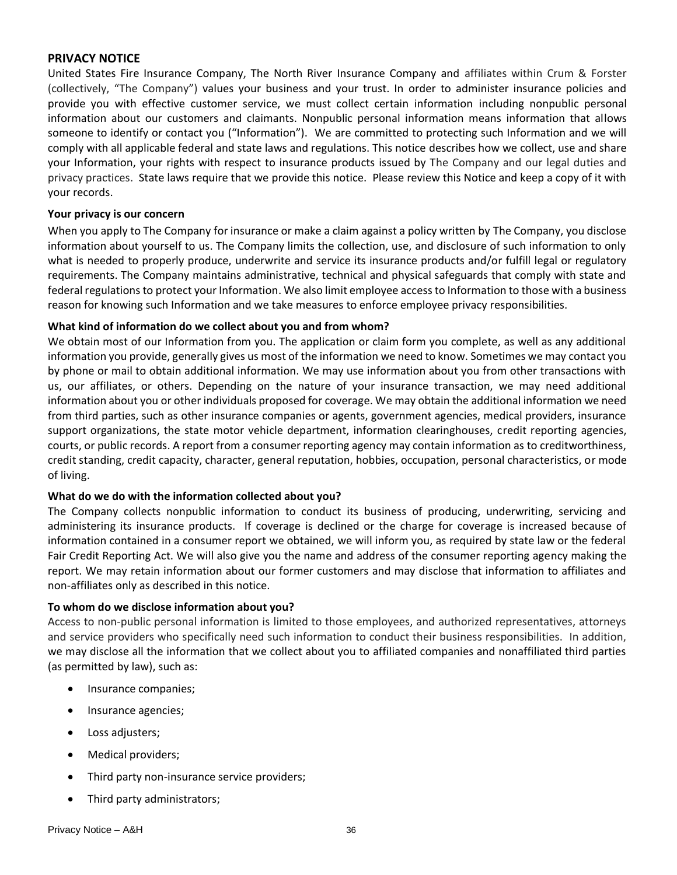# <span id="page-35-0"></span>**PRIVACY NOTICE**

United States Fire Insurance Company, The North River Insurance Company and affiliates within Crum & Forster (collectively, "The Company") values your business and your trust. In order to administer insurance policies and provide you with effective customer service, we must collect certain information including nonpublic personal information about our customers and claimants. Nonpublic personal information means information that allows someone to identify or contact you ("Information"). We are committed to protecting such Information and we will comply with all applicable federal and state laws and regulations. This notice describes how we collect, use and share your Information, your rights with respect to insurance products issued by The Company and our legal duties and privacy practices. State laws require that we provide this notice. Please review this Notice and keep a copy of it with your records.

#### **Your privacy is our concern**

When you apply to The Company for insurance or make a claim against a policy written by The Company, you disclose information about yourself to us. The Company limits the collection, use, and disclosure of such information to only what is needed to properly produce, underwrite and service its insurance products and/or fulfill legal or regulatory requirements. The Company maintains administrative, technical and physical safeguards that comply with state and federal regulations to protect your Information. We also limit employee access to Information to those with a business reason for knowing such Information and we take measures to enforce employee privacy responsibilities.

#### **What kind of information do we collect about you and from whom?**

We obtain most of our Information from you. The application or claim form you complete, as well as any additional information you provide, generally gives us most of the information we need to know. Sometimes we may contact you by phone or mail to obtain additional information. We may use information about you from other transactions with us, our affiliates, or others. Depending on the nature of your insurance transaction, we may need additional information about you or other individuals proposed for coverage. We may obtain the additional information we need from third parties, such as other insurance companies or agents, government agencies, medical providers, insurance support organizations, the state motor vehicle department, information clearinghouses, credit reporting agencies, courts, or public records. A report from a consumer reporting agency may contain information as to creditworthiness, credit standing, credit capacity, character, general reputation, hobbies, occupation, personal characteristics, or mode of living.

#### **What do we do with the information collected about you?**

The Company collects nonpublic information to conduct its business of producing, underwriting, servicing and administering its insurance products. If coverage is declined or the charge for coverage is increased because of information contained in a consumer report we obtained, we will inform you, as required by state law or the federal Fair Credit Reporting Act. We will also give you the name and address of the consumer reporting agency making the report. We may retain information about our former customers and may disclose that information to affiliates and non-affiliates only as described in this notice.

#### **To whom do we disclose information about you?**

Access to non-public personal information is limited to those employees, and authorized representatives, attorneys and service providers who specifically need such information to conduct their business responsibilities. In addition, we may disclose all the information that we collect about you to affiliated companies and nonaffiliated third parties (as permitted by law), such as:

- Insurance companies;
- Insurance agencies;
- Loss adjusters;
- Medical providers;
- Third party non-insurance service providers;
- Third party administrators;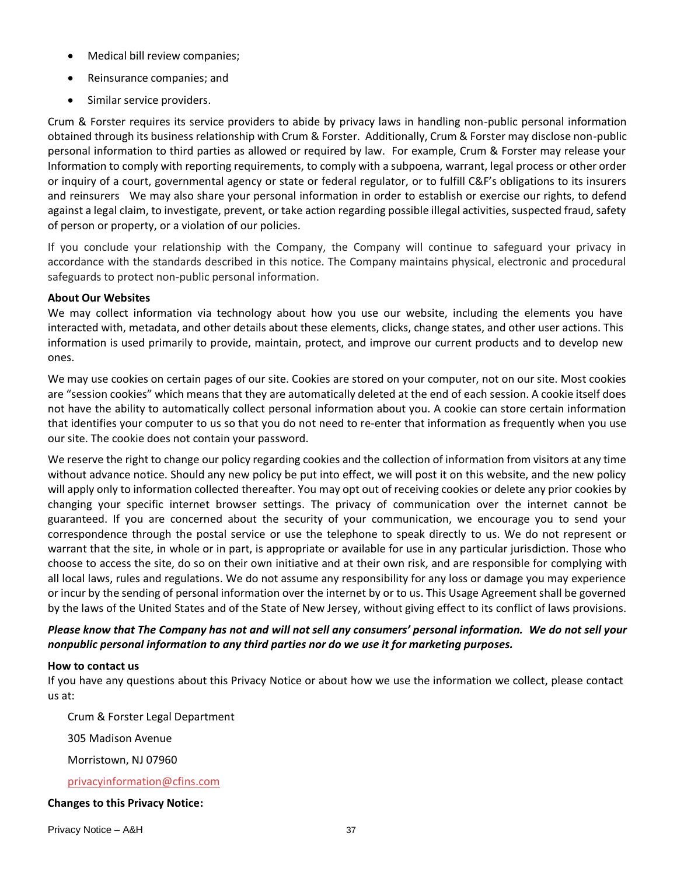- Medical bill review companies;
- Reinsurance companies; and
- Similar service providers.

Crum & Forster requires its service providers to abide by privacy laws in handling non-public personal information obtained through its business relationship with Crum & Forster. Additionally, Crum & Forster may disclose non-public personal information to third parties as allowed or required by law. For example, Crum & Forster may release your Information to comply with reporting requirements, to comply with a subpoena, warrant, legal process or other order or inquiry of a court, governmental agency or state or federal regulator, or to fulfill C&F's obligations to its insurers and reinsurers We may also share your personal information in order to establish or exercise our rights, to defend against a legal claim, to investigate, prevent, or take action regarding possible illegal activities, suspected fraud, safety of person or property, or a violation of our policies.

If you conclude your relationship with the Company, the Company will continue to safeguard your privacy in accordance with the standards described in this notice. The Company maintains physical, electronic and procedural safeguards to protect non-public personal information.

### **About Our Websites**

We may collect information via technology about how you use our website, including the elements you have interacted with, metadata, and other details about these elements, clicks, change states, and other user actions. This information is used primarily to provide, maintain, protect, and improve our current products and to develop new ones.

We may use cookies on certain pages of our site. Cookies are stored on your computer, not on our site. Most cookies are "session cookies" which means that they are automatically deleted at the end of each session. A cookie itself does not have the ability to automatically collect personal information about you. A cookie can store certain information that identifies your computer to us so that you do not need to re-enter that information as frequently when you use our site. The cookie does not contain your password.

We reserve the right to change our policy regarding cookies and the collection of information from visitors at any time without advance notice. Should any new policy be put into effect, we will post it on this website, and the new policy will apply only to information collected thereafter. You may opt out of receiving cookies or delete any prior cookies by changing your specific internet browser settings. The privacy of communication over the internet cannot be guaranteed. If you are concerned about the security of your communication, we encourage you to send your correspondence through the postal service or use the telephone to speak directly to us. We do not represent or warrant that the site, in whole or in part, is appropriate or available for use in any particular jurisdiction. Those who choose to access the site, do so on their own initiative and at their own risk, and are responsible for complying with all local laws, rules and regulations. We do not assume any responsibility for any loss or damage you may experience or incur by the sending of personal information over the internet by or to us. This Usage Agreement shall be governed by the laws of the United States and of the State of New Jersey, without giving effect to its conflict of laws provisions.

# *Please know that The Company has not and will not sell any consumers' personal information. We do not sell your nonpublic personal information to any third parties nor do we use it for marketing purposes.*

### **How to contact us**

If you have any questions about this Privacy Notice or about how we use the information we collect, please contact us at:

Crum & Forster Legal Department

305 Madison Avenue

Morristown, NJ 07960

[privacyinformation@cfins.com](mailto:privacyinformation@cfins.com)

### **Changes to this Privacy Notice:**

Privacy Notice – A&H 37